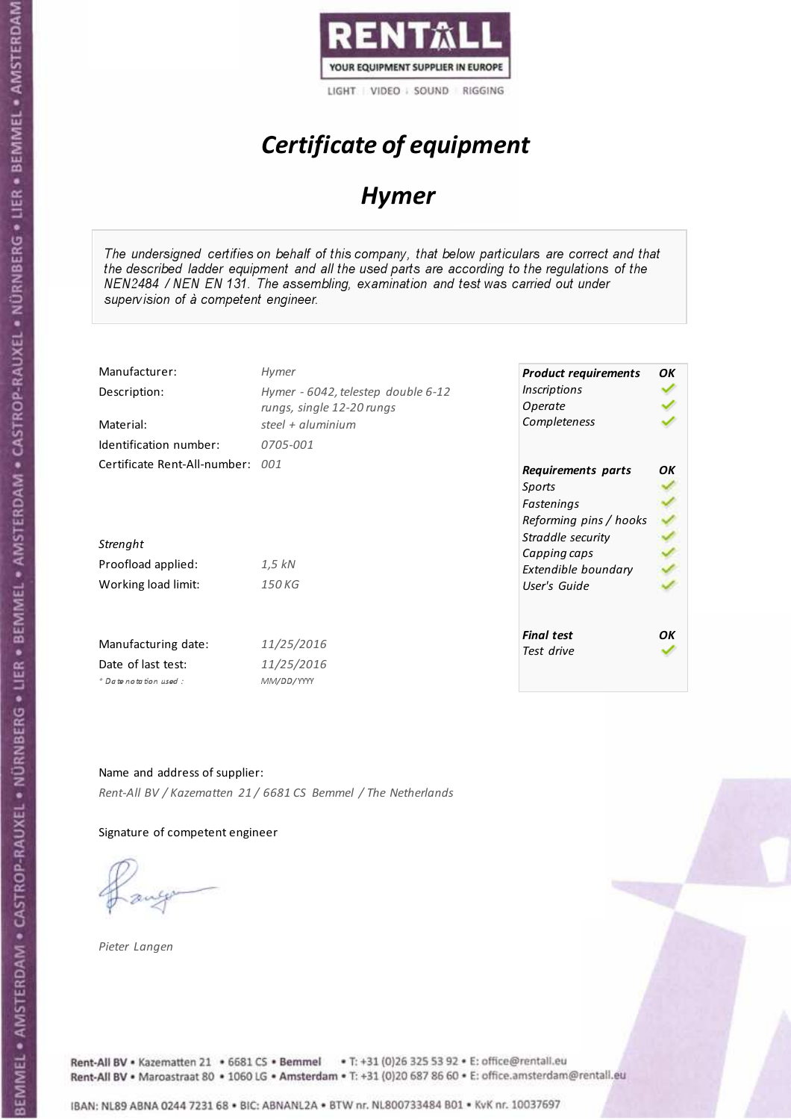

# Certificate of equipment

## Hymer

The undersigned certifies on behalf of this company, that below particulars are correct and that the described ladder equipment and all the used parts are according to the regulations of the NEN2484 / NEN EN 131. The assembling, examination and test was carried out under supervision of à competent engineer.

| Manufacturer:                    | Hymer                              | <b>Product requirements</b> | OK |
|----------------------------------|------------------------------------|-----------------------------|----|
| Description:                     | Hymer - 6042, telestep double 6-12 | <i><b>Inscriptions</b></i>  |    |
|                                  | rungs, single 12-20 rungs          | Operate                     |    |
| Material:                        | steel $+$ aluminium                | Completeness                |    |
| Identification number:           | 0705-001                           |                             |    |
| Certificate Rent-All-number: 001 |                                    | Requirements parts          | OK |
|                                  |                                    | Sports                      |    |
|                                  |                                    | Fastenings                  |    |
|                                  |                                    | Reforming pins / hooks      |    |
| Strenght                         |                                    | Straddle security           |    |
|                                  |                                    | Capping caps                |    |
| Proofload applied:               | 1,5 kN                             | Extendible boundary         |    |
| Working load limit:              | 150 KG                             | User's Guide                |    |
|                                  |                                    |                             |    |
| Manufacturing date:              | 11/25/2016                         | <b>Final test</b>           | OK |
|                                  |                                    | Test drive                  |    |
| Date of last test:               | 11/25/2016                         |                             |    |
| $*$ Date notation used:          | MM/DD/YYYY                         |                             |    |

### Name and address of supplier:

Rent-All BV / Kazematten 21 / 6681 CS Bemmel / The Netherlands

### Signature of competent engineer

Pieter Langen

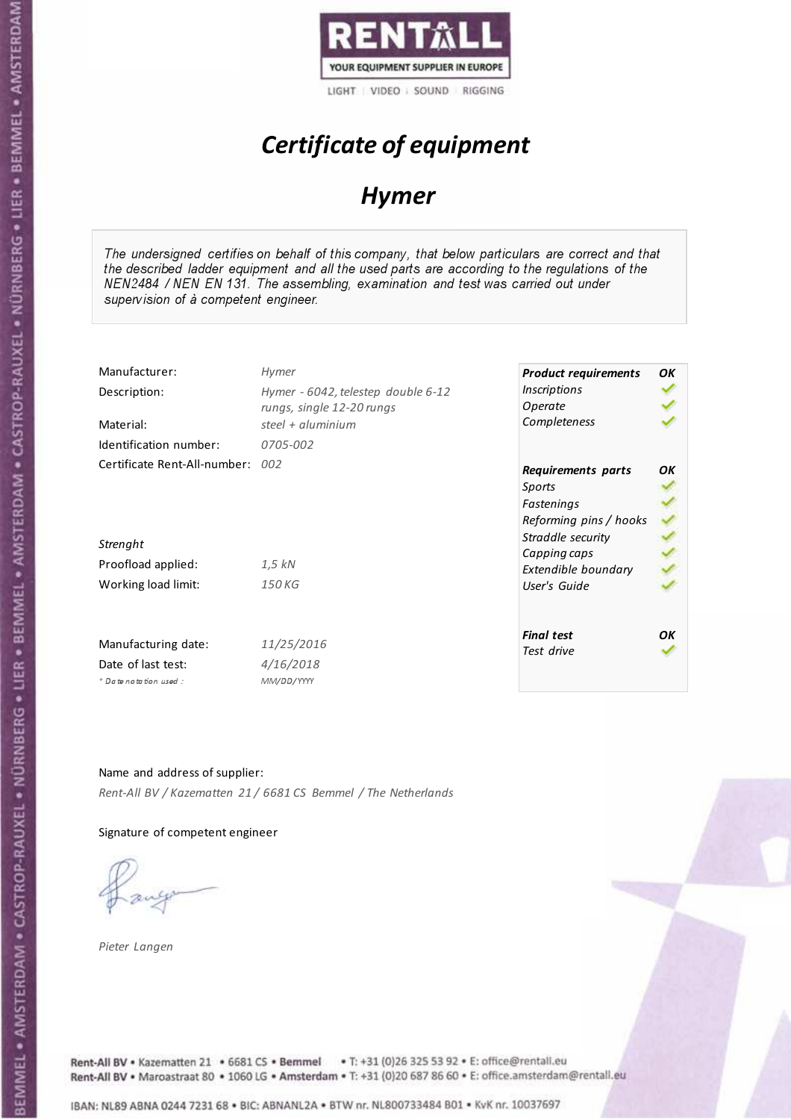

## Certificate of equipment

### Hymer

The undersigned certifies on behalf of this company, that below particulars are correct and that the described ladder equipment and all the used parts are according to the regulations of the NEN2484 / NEN EN 131. The assembling, examination and test was carried out under supervision of à competent engineer.

| Manufacturer:                    | <b>Hymer</b>                       | <b>Product requirements</b> | OK |
|----------------------------------|------------------------------------|-----------------------------|----|
| Description:                     | Hymer - 6042, telestep double 6-12 | <i><b>Inscriptions</b></i>  |    |
|                                  | rungs, single 12-20 rungs          | Operate                     |    |
| Material:                        | steel + aluminium                  | Completeness                |    |
| Identification number:           | 0705-002                           |                             |    |
| Certificate Rent-All-number: 002 |                                    | Requirements parts          | OK |
|                                  |                                    | Sports                      |    |
|                                  |                                    | Fastenings                  |    |
|                                  |                                    | Reforming pins / hooks      |    |
| Strenght                         |                                    | Straddle security           |    |
|                                  |                                    | Capping caps                |    |
| Proofload applied:               | 1,5 kN                             | Extendible boundary         |    |
| Working load limit:              | 150 KG                             | User's Guide                |    |
|                                  |                                    |                             |    |
| Manufacturing date:              | 11/25/2016                         | <b>Final test</b>           | OK |
|                                  |                                    | Test drive                  |    |
| Date of last test:               | 4/16/2018                          |                             |    |
| $+$ Date notation used:          | MM/DD/YYYY                         |                             |    |

Name and address of supplier:

Rent-All BV / Kazematten 21 / 6681 CS Bemmel / The Netherlands

### Signature of competent engineer

Pieter Langen

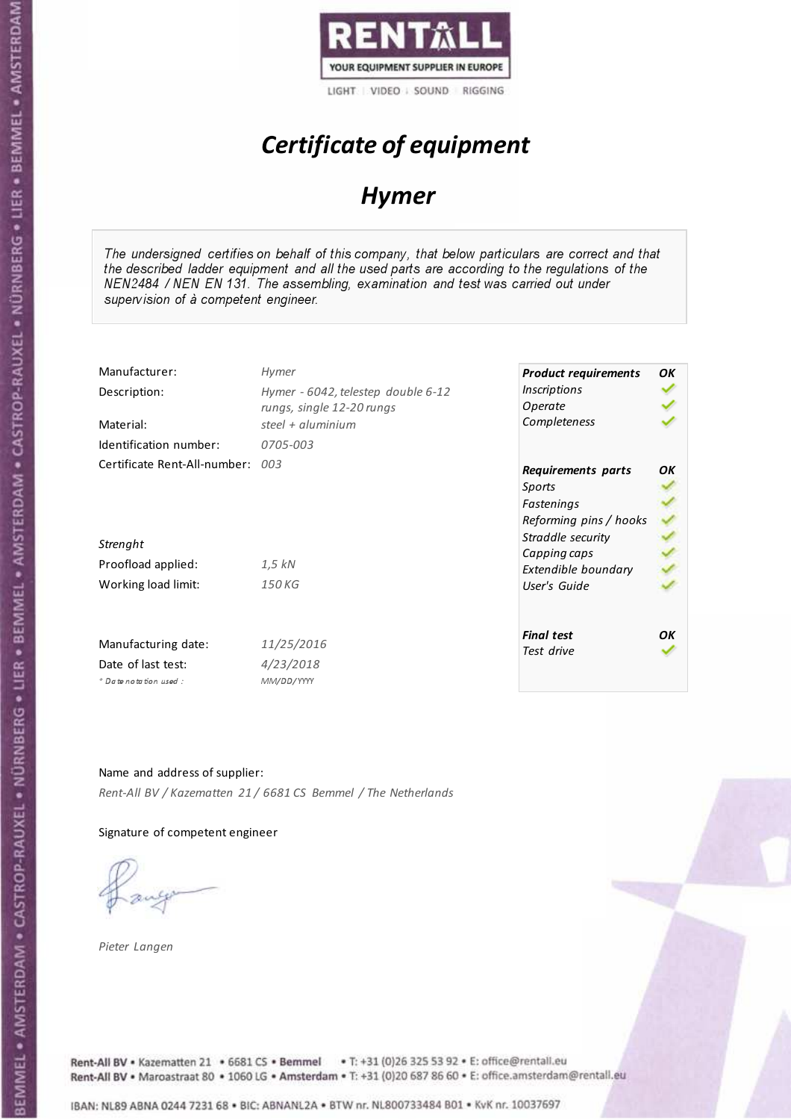

# Certificate of equipment

## Hymer

The undersigned certifies on behalf of this company, that below particulars are correct and that the described ladder equipment and all the used parts are according to the regulations of the NEN2484 / NEN EN 131. The assembling, examination and test was carried out under supervision of à competent engineer.

| Manufacturer:<br>Description:                                        | Hymer<br>Hymer - 6042, telestep double 6-12                | <b>Product requirements</b><br><i><b>Inscriptions</b></i>                | OK |
|----------------------------------------------------------------------|------------------------------------------------------------|--------------------------------------------------------------------------|----|
| Material:<br>Identification number:                                  | rungs, single 12-20 rungs<br>steel + aluminium<br>0705-003 | Operate<br>Completeness                                                  |    |
| Certificate Rent-All-number: 003                                     |                                                            | Requirements parts<br>Sports<br>Fastenings<br>Reforming pins / hooks     | OΚ |
| Strenght<br>Proofload applied:<br>Working load limit:                | 1,5 kN<br>150 KG                                           | Straddle security<br>Capping caps<br>Extendible boundary<br>User's Guide |    |
| Manufacturing date:<br>Date of last test:<br>$*$ Date notation used: | 11/25/2016<br>4/23/2018<br>MM/DD/YYYY                      | <b>Final test</b><br>Test drive                                          | OK |

Name and address of supplier: Rent-All BV / Kazematten 21 / 6681 CS Bemmel / The Netherlands

Signature of competent engineer

Pieter Langen



Rent-All BV . Kazematten 21 . 6681 CS . Bemmel . T: +31 (0)26 325 53 92 . E: office@rentall.eu Rent-All BV · Maroastraat 80 · 1060 LG · Amsterdam · T: +31 (0)20 687 86 60 · E: office.amsterdam@rentall.eu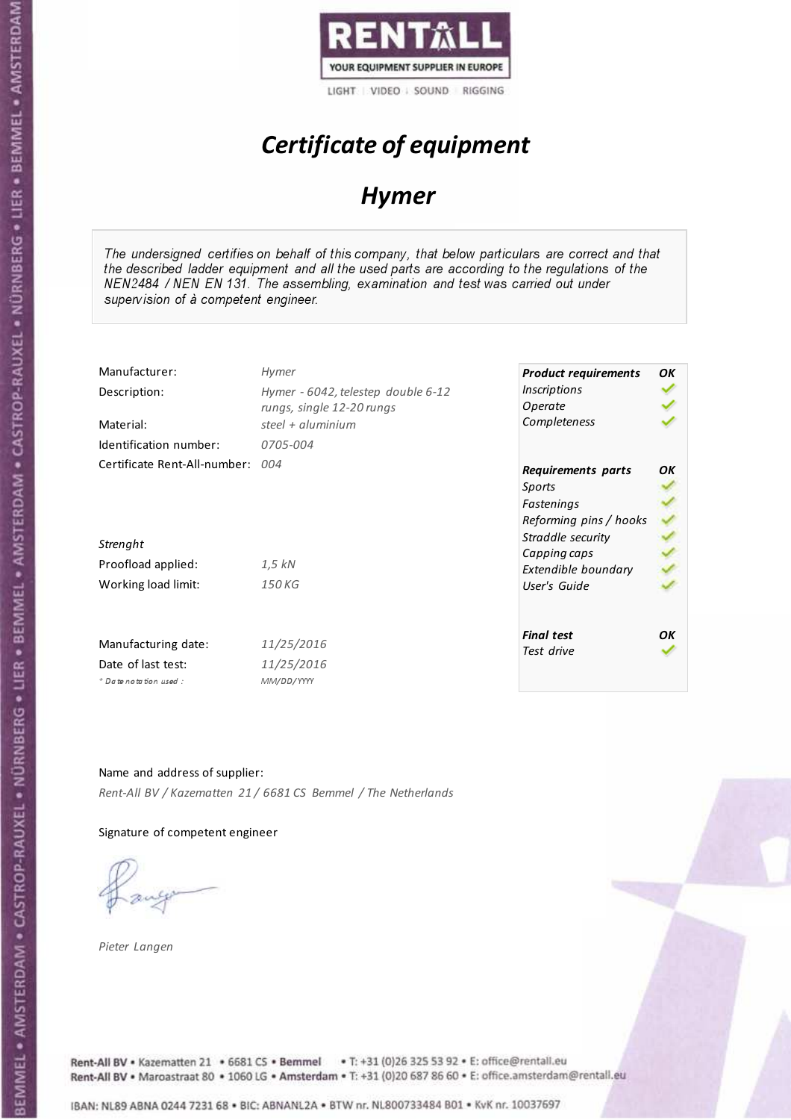

# Certificate of equipment

## Hymer

The undersigned certifies on behalf of this company, that below particulars are correct and that the described ladder equipment and all the used parts are according to the regulations of the NEN2484 / NEN EN 131. The assembling, examination and test was carried out under supervision of à competent engineer.

| Manufacturer:                    | Hymer                              | <b>Product requirements</b> | OK |
|----------------------------------|------------------------------------|-----------------------------|----|
| Description:                     | Hymer - 6042, telestep double 6-12 | <i><b>Inscriptions</b></i>  |    |
|                                  | rungs, single 12-20 rungs          | Operate                     |    |
| Material:                        | steel $+$ aluminium                | Completeness                |    |
| Identification number:           | 0705-004                           |                             |    |
| Certificate Rent-All-number: 004 |                                    | Requirements parts          | OK |
|                                  |                                    | Sports                      |    |
|                                  |                                    | Fastenings                  |    |
|                                  |                                    | Reforming pins / hooks      |    |
| Strenght                         |                                    | Straddle security           |    |
|                                  |                                    | Capping caps                |    |
| Proofload applied:               | 1,5 kN                             | Extendible boundary         |    |
| Working load limit:              | 150 KG                             | User's Guide                |    |
|                                  |                                    |                             |    |
| Manufacturing date:              | 11/25/2016                         | <b>Final test</b>           | OK |
|                                  |                                    | Test drive                  |    |
| Date of last test:               | 11/25/2016                         |                             |    |
| $*$ Date notation used:          | MM/DD/YYYY                         |                             |    |

### Name and address of supplier:

Rent-All BV / Kazematten 21 / 6681 CS Bemmel / The Netherlands

### Signature of competent engineer

Pieter Langen

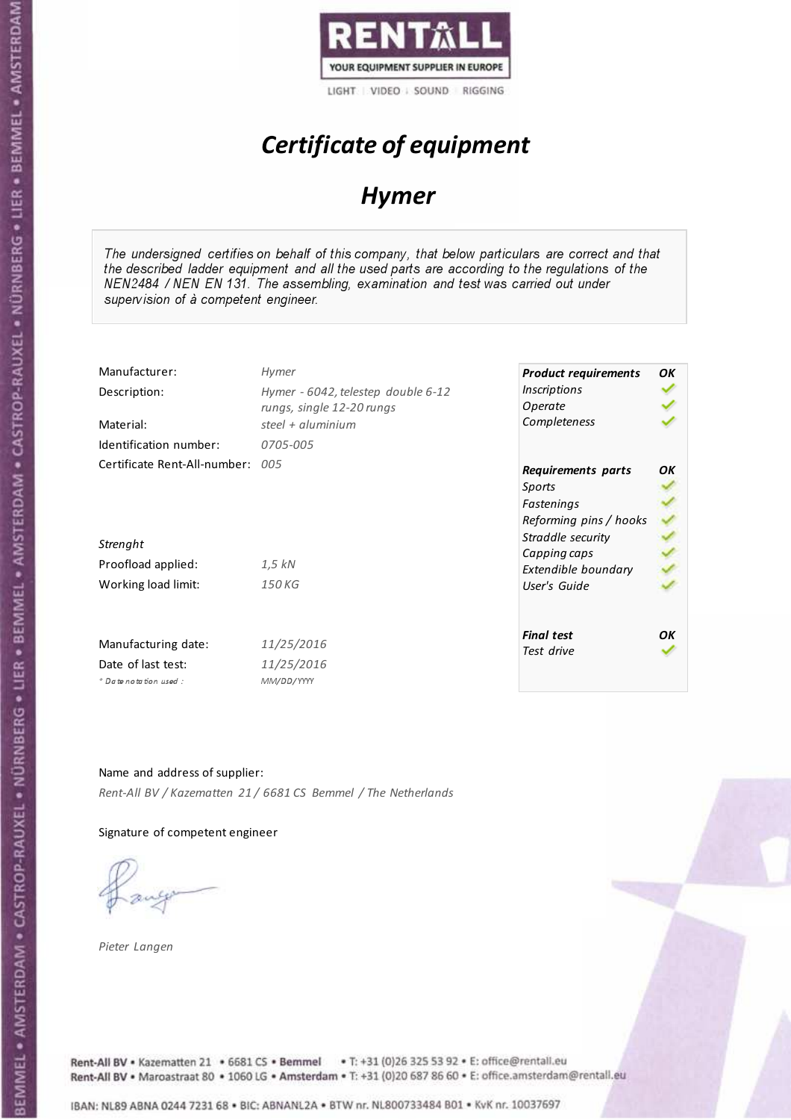

# Certificate of equipment

## Hymer

The undersigned certifies on behalf of this company, that below particulars are correct and that the described ladder equipment and all the used parts are according to the regulations of the NEN2484 / NEN EN 131. The assembling, examination and test was carried out under supervision of à competent engineer.

| Manufacturer:                    | Hymer                              | <b>Product requirements</b> | OK |
|----------------------------------|------------------------------------|-----------------------------|----|
| Description:                     | Hymer - 6042, telestep double 6-12 | <i><b>Inscriptions</b></i>  |    |
|                                  | rungs, single 12-20 rungs          | Operate                     |    |
| Material:                        | steel $+$ aluminium                | Completeness                |    |
| Identification number:           | 0705-005                           |                             |    |
| Certificate Rent-All-number: 005 |                                    | Requirements parts          | OK |
|                                  |                                    | Sports                      |    |
|                                  |                                    | Fastenings                  |    |
|                                  |                                    | Reforming pins / hooks      |    |
| Strenght                         |                                    | Straddle security           |    |
|                                  |                                    | Capping caps                |    |
| Proofload applied:               | 1,5 kN                             | Extendible boundary         |    |
| Working load limit:              | 150 KG                             | User's Guide                |    |
|                                  |                                    |                             |    |
|                                  |                                    | <b>Final test</b>           | OK |
| Manufacturing date:              | 11/25/2016                         | Test drive                  |    |
| Date of last test:               | 11/25/2016                         |                             |    |
| $*$ Date notation used:          | MM/DD/YYYY                         |                             |    |

### Name and address of supplier:

Rent-All BV / Kazematten 21 / 6681 CS Bemmel / The Netherlands

### Signature of competent engineer

Pieter Langen

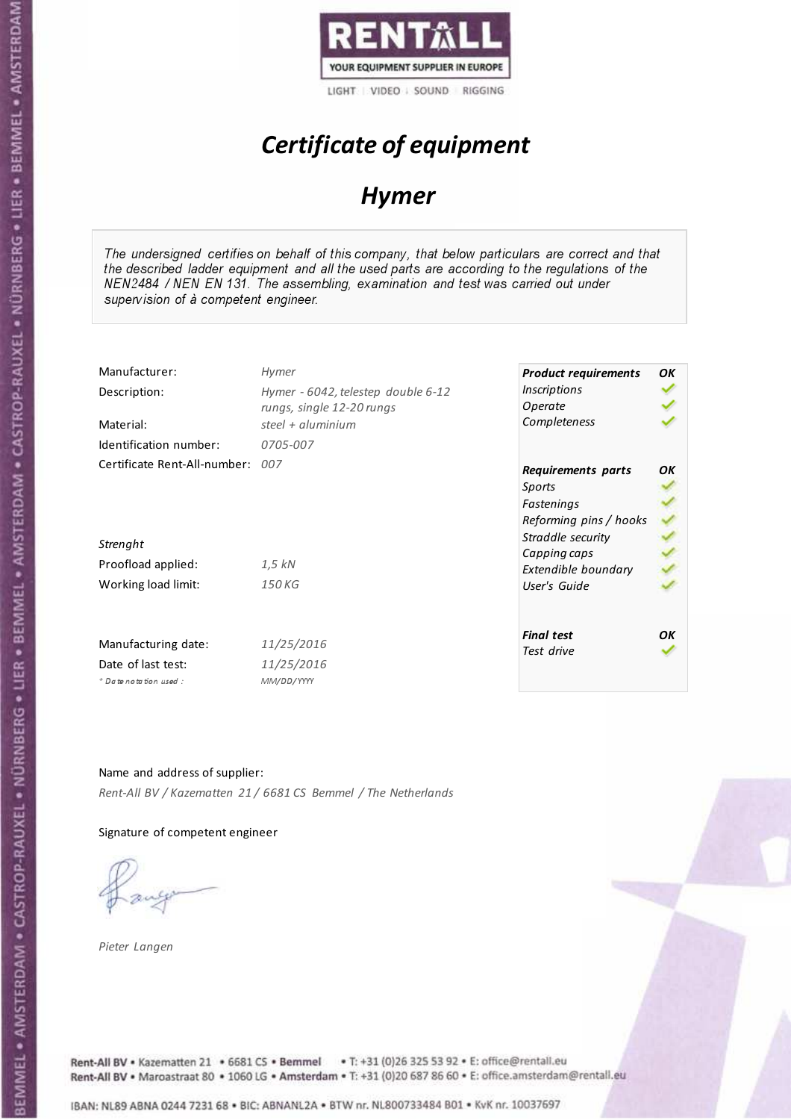

## Certificate of equipment

## Hymer

The undersigned certifies on behalf of this company, that below particulars are correct and that the described ladder equipment and all the used parts are according to the regulations of the NEN2484 / NEN EN 131. The assembling, examination and test was carried out under supervision of à competent engineer.

| Manufacturer:                    | Hymer                              | <b>Product requirements</b> | OK |
|----------------------------------|------------------------------------|-----------------------------|----|
| Description:                     | Hymer - 6042, telestep double 6-12 | <i><b>Inscriptions</b></i>  |    |
|                                  | rungs, single 12-20 rungs          | Operate                     |    |
| Material:                        | steel + aluminium                  | Completeness                |    |
| Identification number:           | 0705-007                           |                             |    |
| Certificate Rent-All-number: 007 |                                    | Requirements parts          | OK |
|                                  |                                    | Sports                      |    |
|                                  |                                    | Fastenings                  |    |
|                                  |                                    | Reforming pins / hooks      |    |
| Strenght                         |                                    | Straddle security           |    |
|                                  |                                    | Capping caps                |    |
| Proofload applied:               | 1,5 kN                             | Extendible boundary         |    |
| Working load limit:              | 150 KG                             | User's Guide                |    |
|                                  |                                    |                             |    |
| Manufacturing date:              | 11/25/2016                         | <b>Final test</b>           | OK |
|                                  |                                    | Test drive                  |    |
| Date of last test:               | 11/25/2016                         |                             |    |
| $+$ Date notation used:          | MM/DD/YYYY                         |                             |    |

### Name and address of supplier:

Rent-All BV / Kazematten 21 / 6681 CS Bemmel / The Netherlands

### Signature of competent engineer

Pieter Langen

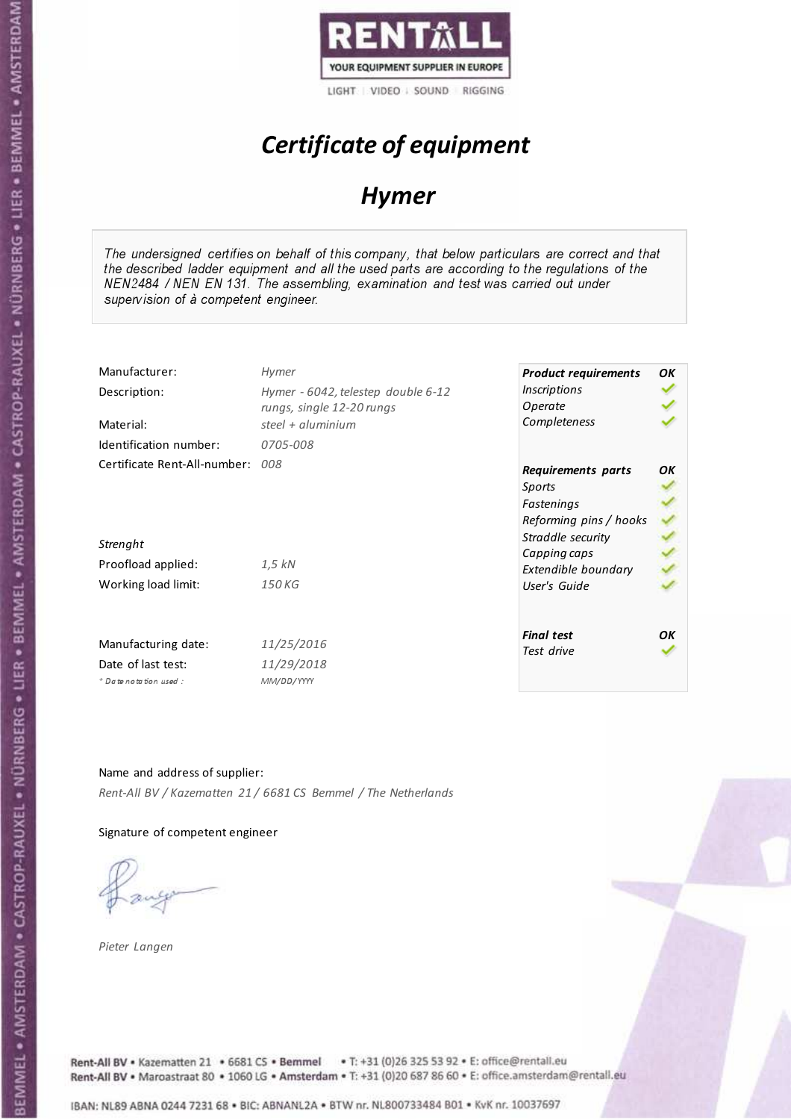

# Certificate of equipment

## Hymer

The undersigned certifies on behalf of this company, that below particulars are correct and that the described ladder equipment and all the used parts are according to the regulations of the NEN2484 / NEN EN 131. The assembling, examination and test was carried out under supervision of à competent engineer.

| Manufacturer:                    | Hymer                              | <b>Product requirements</b> | OK |
|----------------------------------|------------------------------------|-----------------------------|----|
| Description:                     | Hymer - 6042, telestep double 6-12 | <i><b>Inscriptions</b></i>  |    |
|                                  | rungs, single 12-20 rungs          | Operate                     |    |
| Material:                        | steel $+$ aluminium                | Completeness                |    |
| Identification number:           | 0705-008                           |                             |    |
| Certificate Rent-All-number: 008 |                                    | Requirements parts          | OK |
|                                  |                                    | Sports                      |    |
|                                  |                                    | Fastenings                  |    |
|                                  |                                    | Reforming pins / hooks      |    |
| Strenght                         |                                    | Straddle security           |    |
|                                  |                                    | Capping caps                |    |
| Proofload applied:               | 1,5 kN                             | Extendible boundary         |    |
| Working load limit:              | 150 KG                             | User's Guide                |    |
|                                  |                                    |                             |    |
|                                  |                                    | <b>Final test</b>           | OK |
| Manufacturing date:              | 11/25/2016                         | Test drive                  |    |
| Date of last test:               | 11/29/2018                         |                             |    |
| $*$ Date notation used:          | MM/DD/YYYY                         |                             |    |

### Name and address of supplier:

Rent-All BV / Kazematten 21 / 6681 CS Bemmel / The Netherlands

### Signature of competent engineer

Pieter Langen

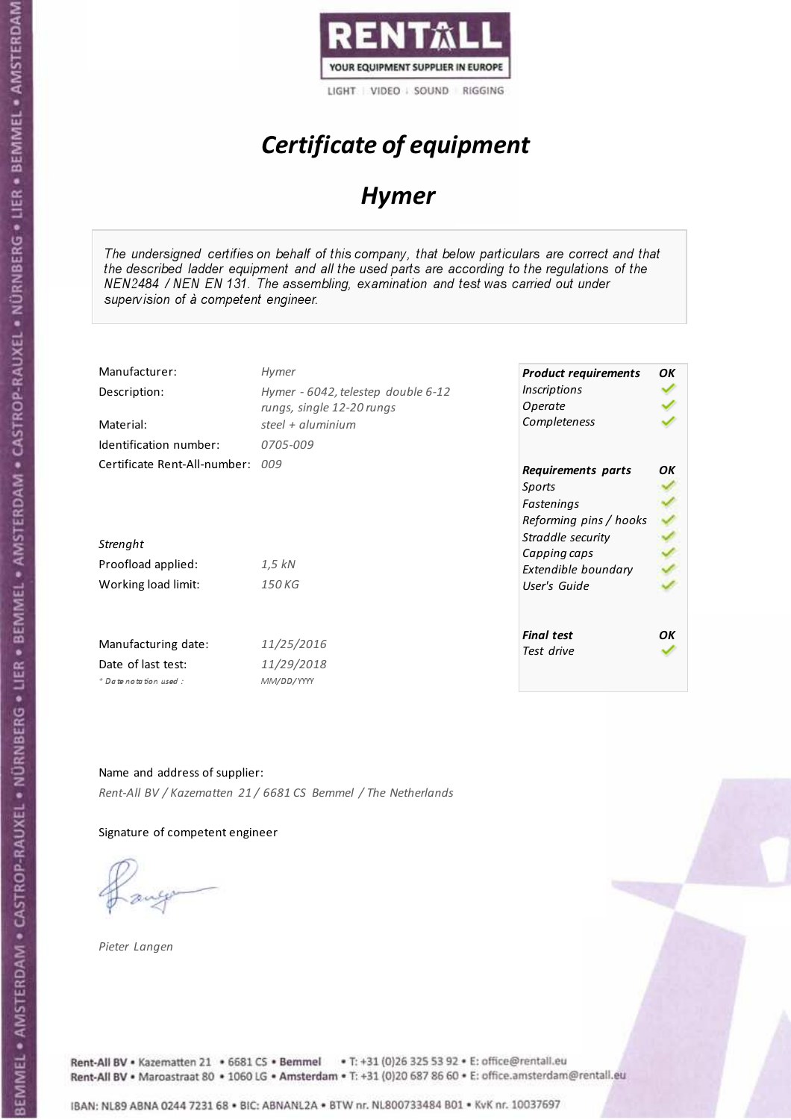

## Certificate of equipment

### Hymer

The undersigned certifies on behalf of this company, that below particulars are correct and that the described ladder equipment and all the used parts are according to the regulations of the NEN2484 / NEN EN 131. The assembling, examination and test was carried out under supervision of à competent engineer.

| Manufacturer:<br>Description:<br>Material:                         | Hymer<br>Hymer - 6042, telestep double 6-12<br>rungs, single 12-20 rungs<br>steel + aluminium | <b>Product requirements</b><br><i><b>Inscriptions</b></i><br>Operate<br>Completeness                      | OK |
|--------------------------------------------------------------------|-----------------------------------------------------------------------------------------------|-----------------------------------------------------------------------------------------------------------|----|
| Identification number:                                             | 0705-009                                                                                      |                                                                                                           |    |
| Certificate Rent-All-number: 009<br>Strenght<br>Proofload applied: | $1.5$ kN                                                                                      | Requirements parts<br>Sports<br>Fastenings<br>Reforming pins / hooks<br>Straddle security<br>Capping caps | OΚ |
|                                                                    |                                                                                               | Extendible boundary                                                                                       |    |
| Working load limit:<br>Manufacturing date:                         | 150 KG<br>11/25/2016                                                                          | User's Guide<br><b>Final test</b>                                                                         | OK |
|                                                                    |                                                                                               | Test drive                                                                                                |    |
| Date of last test:                                                 | 11/29/2018                                                                                    |                                                                                                           |    |
| $*$ Date notation used:                                            | MM/DD/YYYY                                                                                    |                                                                                                           |    |

Name and address of supplier:

Rent-All BV / Kazematten 21 / 6681 CS Bemmel / The Netherlands

#### Signature of competent engineer

Pieter Langen

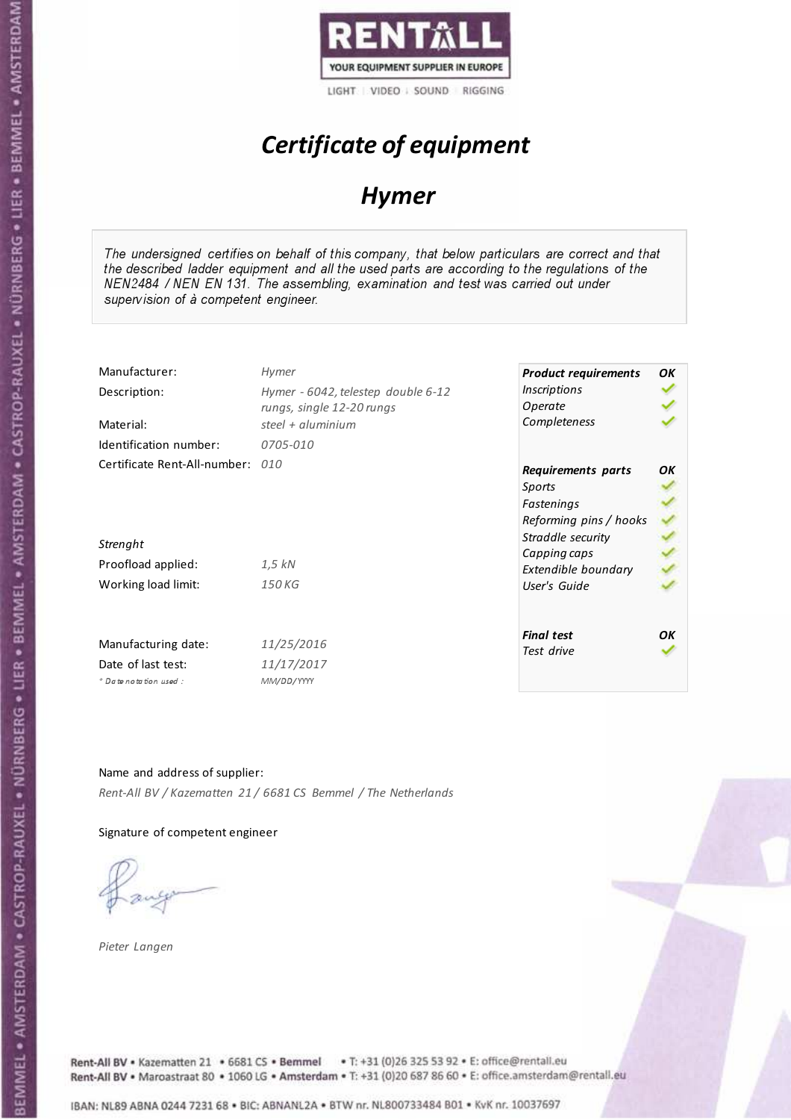

# Certificate of equipment

## Hymer

The undersigned certifies on behalf of this company, that below particulars are correct and that the described ladder equipment and all the used parts are according to the regulations of the NEN2484 / NEN EN 131. The assembling, examination and test was carried out under supervision of à competent engineer.

| Manufacturer:                    | <b>Hymer</b>                       | <b>Product requirements</b> | OK |
|----------------------------------|------------------------------------|-----------------------------|----|
| Description:                     | Hymer - 6042, telestep double 6-12 | <i><b>Inscriptions</b></i>  |    |
|                                  | rungs, single 12-20 rungs          | Operate                     |    |
| Material:                        | steel $+$ aluminium                | Completeness                |    |
| Identification number:           | 0705-010                           |                             |    |
| Certificate Rent-All-number: 010 |                                    | Requirements parts          | OK |
|                                  |                                    | Sports                      |    |
|                                  |                                    | Fastenings                  |    |
|                                  |                                    | Reforming pins / hooks      |    |
| Strenght                         |                                    | Straddle security           |    |
|                                  |                                    | Capping caps                |    |
| Proofload applied:               | 1,5 kN                             | Extendible boundary         |    |
| Working load limit:              | 150 KG                             | User's Guide                |    |
|                                  |                                    |                             |    |
|                                  |                                    | <b>Final test</b>           | OK |
| Manufacturing date:              | 11/25/2016                         | Test drive                  |    |
| Date of last test:               | 11/17/2017                         |                             |    |
| $*$ Date notation used:          | MM/DD/YYYY                         |                             |    |

#### Name and address of supplier:

Rent-All BV / Kazematten 21 / 6681 CS Bemmel / The Netherlands

### Signature of competent engineer

Pieter Langen



Rent-All BV . Kazematten 21 . 6681 CS . Bemmel . T: +31 (0)26 325 53 92 . E: office@rentall.eu Rent-All BV · Maroastraat 80 · 1060 LG · Amsterdam · T: +31 (0)20 687 86 60 · E: office.amsterdam@rentall.eu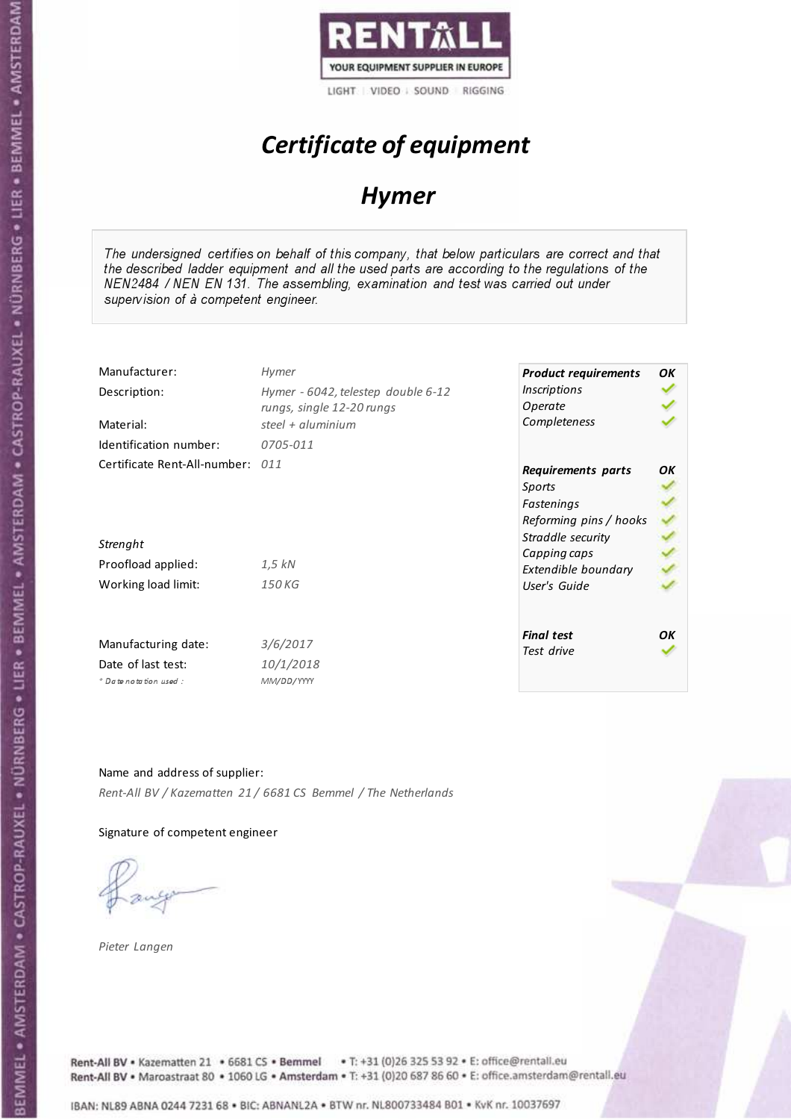

## Certificate of equipment

## Hymer

The undersigned certifies on behalf of this company, that below particulars are correct and that the described ladder equipment and all the used parts are according to the regulations of the NEN2484 / NEN EN 131. The assembling, examination and test was carried out under supervision of à competent engineer.

| Manufacturer:<br>Description:                                        | Hymer<br>Hymer - 6042, telestep double 6-12<br>rungs, single 12-20 rungs | <b>Product requirements</b><br><i><b>Inscriptions</b></i><br>Operate | OK |
|----------------------------------------------------------------------|--------------------------------------------------------------------------|----------------------------------------------------------------------|----|
| Material:                                                            | steel + $aluminim$                                                       | Completeness                                                         |    |
| Identification number:                                               | 0705-011                                                                 |                                                                      |    |
| Certificate Rent-All-number: 011                                     |                                                                          | Requirements parts<br>Sports<br>Fastenings<br>Reforming pins / hooks | OΚ |
| Strenght                                                             |                                                                          | Straddle security                                                    |    |
| Proofload applied:                                                   | $1.5$ kN                                                                 | Capping caps<br>Extendible boundary                                  |    |
| Working load limit:                                                  | 150 KG                                                                   | User's Guide                                                         |    |
| Manufacturing date:<br>Date of last test:<br>$*$ Date notation used: | 3/6/2017<br>10/1/2018<br>MM/DD/YYYY                                      | <b>Final test</b><br>Test drive                                      | OK |

#### Name and address of supplier:

Rent-All BV / Kazematten 21 / 6681 CS Bemmel / The Netherlands

### Signature of competent engineer

Pieter Langen

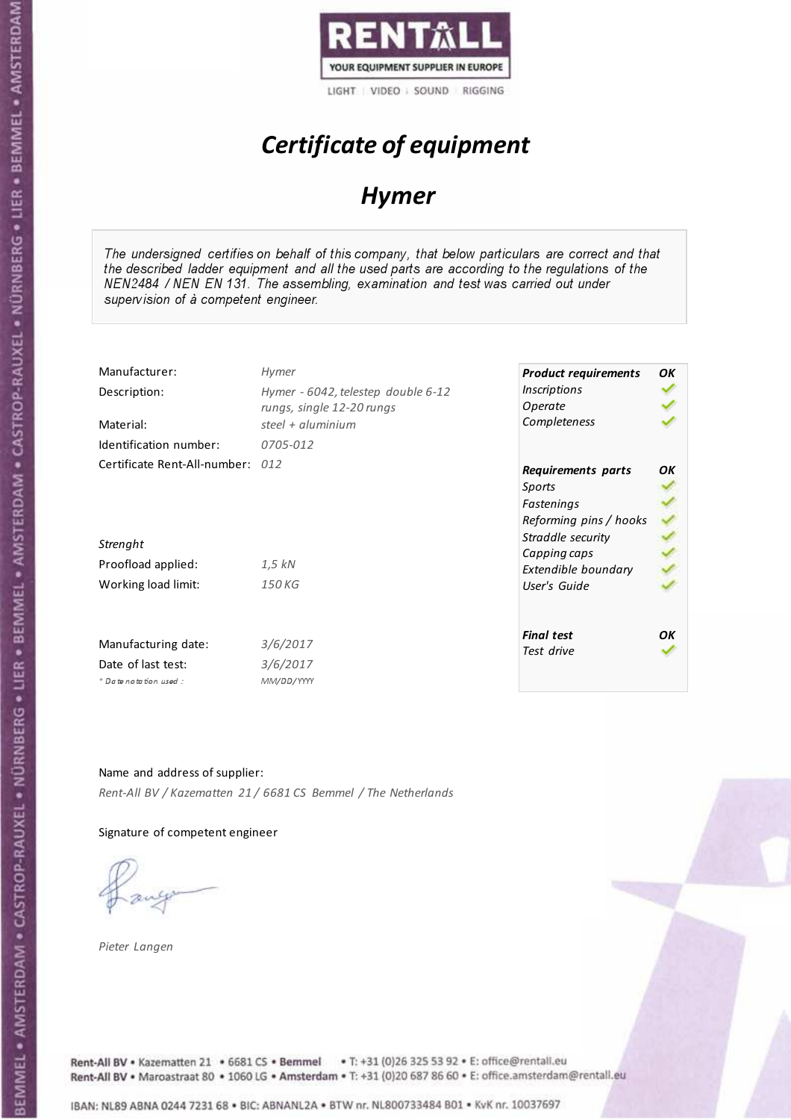

# Certificate of equipment

## Hymer

The undersigned certifies on behalf of this company, that below particulars are correct and that the described ladder equipment and all the used parts are according to the regulations of the NEN2484 / NEN EN 131. The assembling, examination and test was carried out under supervision of à competent engineer.

| Manufacturer:                    | Hymer                              | <b>Product requirements</b> | OK |
|----------------------------------|------------------------------------|-----------------------------|----|
| Description:                     | Hymer - 6042, telestep double 6-12 | <i><b>Inscriptions</b></i>  |    |
|                                  | rungs, single 12-20 rungs          | Operate                     |    |
| Material:                        | steel + $\alpha$ luminium          | Completeness                |    |
| Identification number:           | 0705-012                           |                             |    |
| Certificate Rent-All-number: 012 |                                    | Requirements parts          | OK |
|                                  |                                    | Sports                      |    |
|                                  |                                    | Fastenings                  |    |
|                                  |                                    | Reforming pins / hooks      |    |
| Strenght                         |                                    | Straddle security           |    |
|                                  |                                    | Capping caps                |    |
| Proofload applied:               | $1.5$ kN                           | Extendible boundary         |    |
| Working load limit:              | 150 KG                             | User's Guide                |    |
|                                  |                                    |                             |    |
|                                  |                                    | <b>Final test</b>           | OK |
| Manufacturing date:              | 3/6/2017                           | Test drive                  |    |
| Date of last test:               | 3/6/2017                           |                             |    |
| $*$ Date notation used:          | MM/DD/YYYY                         |                             |    |

#### Name and address of supplier:

Rent-All BV / Kazematten 21 / 6681 CS Bemmel / The Netherlands

#### Signature of competent engineer

Pieter Langen



Rent-All BV . Kazematten 21 . 6681 CS . Bemmel . T: +31 (0)26 325 53 92 . E: office@rentall.eu Rent-All BV · Maroastraat 80 · 1060 LG · Amsterdam · T: +31 (0)20 687 86 60 · E: office.amsterdam@rentall.eu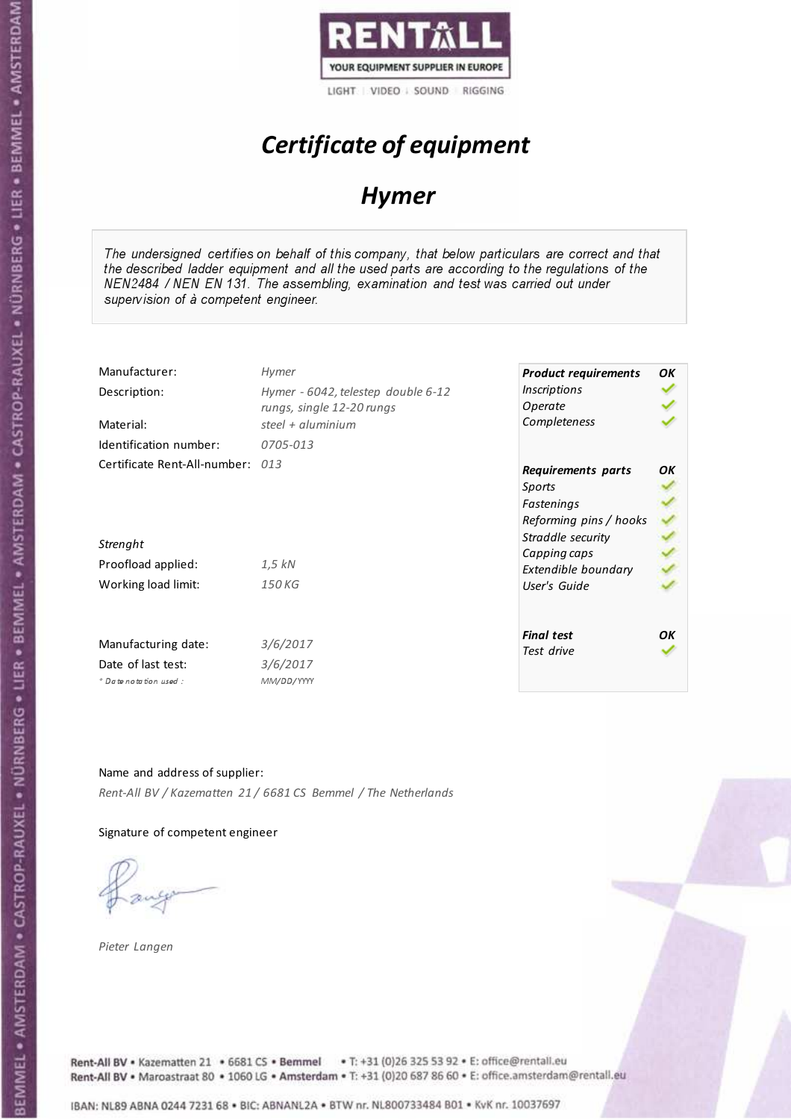

# Certificate of equipment

## Hymer

The undersigned certifies on behalf of this company, that below particulars are correct and that the described ladder equipment and all the used parts are according to the regulations of the NEN2484 / NEN EN 131. The assembling, examination and test was carried out under supervision of à competent engineer.

| Manufacturer:                    | Hymer                              | <b>Product requirements</b> | OK |
|----------------------------------|------------------------------------|-----------------------------|----|
| Description:                     | Hymer - 6042, telestep double 6-12 | <i><b>Inscriptions</b></i>  |    |
|                                  | rungs, single 12-20 rungs          | Operate                     |    |
| Material:                        | steel + $aluminium$                | Completeness                |    |
| Identification number:           | 0705-013                           |                             |    |
| Certificate Rent-All-number: 013 |                                    | Requirements parts          | OK |
|                                  |                                    | Sports                      |    |
|                                  |                                    | Fastenings                  |    |
|                                  |                                    | Reforming pins / hooks      |    |
| Strenght                         |                                    | Straddle security           |    |
|                                  |                                    | Capping caps                |    |
| Proofload applied:               | $1.5$ kN                           | Extendible boundary         |    |
| Working load limit:              | 150 KG                             | User's Guide                |    |
|                                  |                                    |                             |    |
| Manufacturing date:              | 3/6/2017                           | <b>Final test</b>           | OK |
| Date of last test:               | 3/6/2017                           | Test drive                  |    |
| + Date notation used:            | MM/DD/YYYY                         |                             |    |
|                                  |                                    |                             |    |

#### Name and address of supplier:

Rent-All BV / Kazematten 21 / 6681 CS Bemmel / The Netherlands

#### Signature of competent engineer

Pieter Langen



Rent-All BV . Kazematten 21 . 6681 CS . Bemmel . T: +31 (0)26 325 53 92 . E: office@rentall.eu Rent-All BV · Maroastraat 80 · 1060 LG · Amsterdam · T: +31 (0)20 687 86 60 · E: office.amsterdam@rentall.eu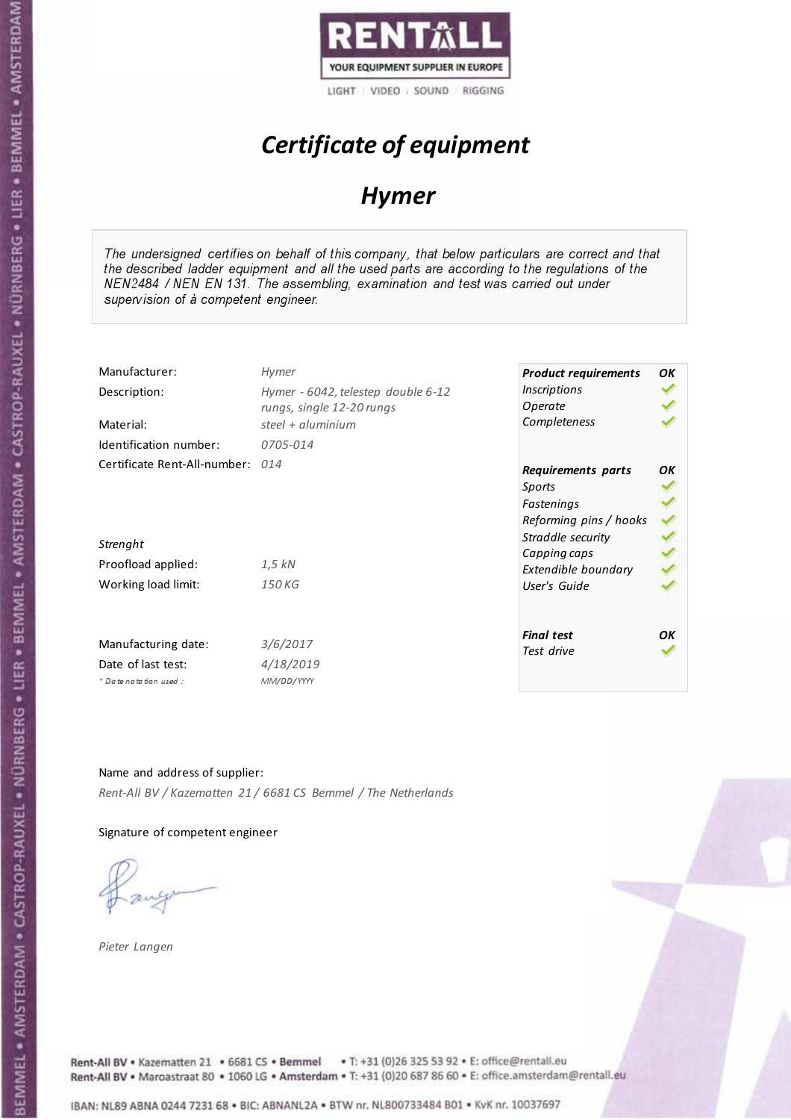

# Certificate of equipment

## Hymer

The undersigned certifies on behalf of this company, that below particulars are correct and that the described ladder equipment and all the used parts are according to the regulations of the NEN2484 / NEN EN 131. The assembling, examination and test was carried out under supervision of à competent engineer.

| Manufacturer:                    | <b>Hymer</b>                       | <b>Product requirements</b> | OK |
|----------------------------------|------------------------------------|-----------------------------|----|
| Description:                     | Hymer - 6042, telestep double 6-12 | <i><b>Inscriptions</b></i>  |    |
|                                  | rungs, single 12-20 rungs          | Operate                     |    |
| Material:                        | steel + aluminium                  | Completeness                |    |
| Identification number:           | 0705-014                           |                             |    |
| Certificate Rent-All-number: 014 |                                    | Requirements parts          | OK |
|                                  |                                    | Sports                      |    |
|                                  |                                    | Fastenings                  |    |
|                                  |                                    | Reforming pins / hooks      |    |
| Strenght                         |                                    | Straddle security           |    |
|                                  |                                    | Capping caps                |    |
| Proofload applied:               | 1,5 kN                             | Extendible boundary         |    |
| Working load limit:              | 150 KG                             | User's Guide                |    |
|                                  |                                    |                             |    |
|                                  |                                    | <b>Final test</b>           | OK |
| Manufacturing date:              | 3/6/2017                           | Test drive                  |    |
| Date of last test:               | 4/18/2019                          |                             |    |
| $*$ Date notation used:          | MM/DD/YYYY                         |                             |    |

#### Name and address of supplier:

Rent-All BV / Kazematten 21 / 6681 CS Bemmel / The Netherlands

#### Signature of competent engineer

Pieter Langen



Rent-All BV . Kazematten 21 . 6681 CS . Bemmel . T: +31 (0)26 325 53 92 . E: office@rentall.eu Rent-All BV · Maroastraat 80 · 1060 LG · Amsterdam · T: +31 (0)20 687 86 60 · E: office.amsterdam@rentall.eu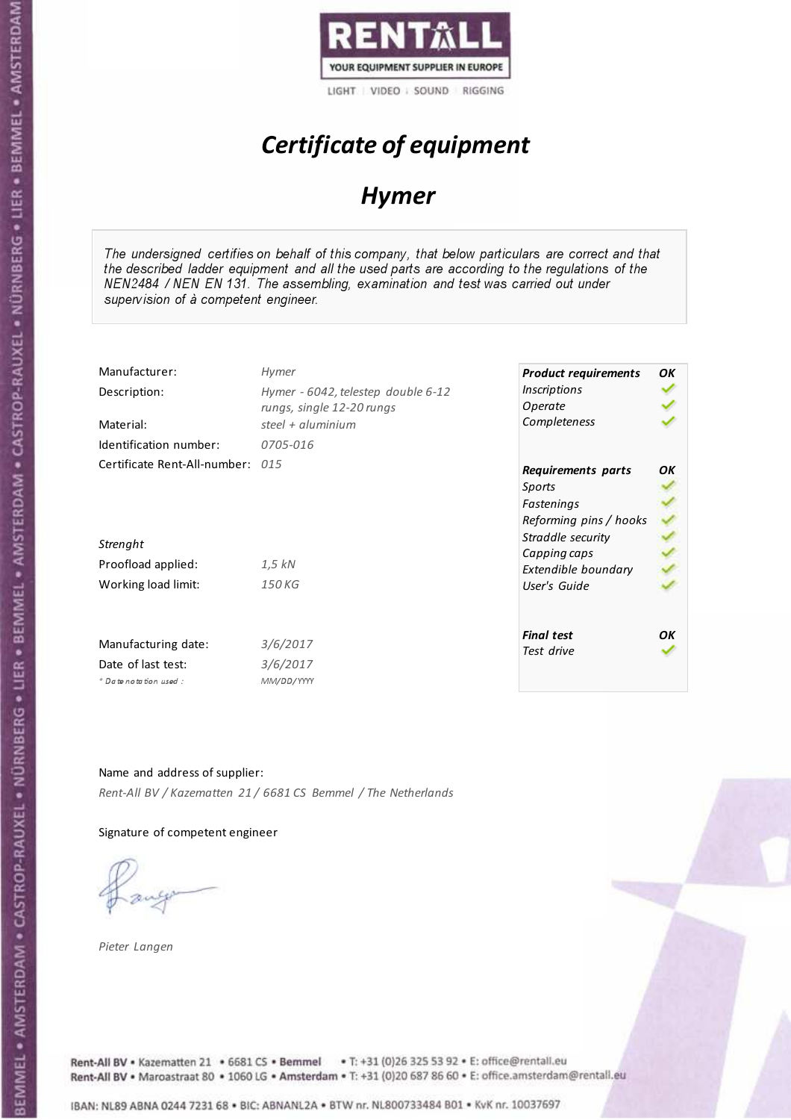

# Certificate of equipment

## Hymer

The undersigned certifies on behalf of this company, that below particulars are correct and that the described ladder equipment and all the used parts are according to the regulations of the NEN2484 / NEN EN 131. The assembling, examination and test was carried out under supervision of à competent engineer.

| Manufacturer:                    | Hymer                              | <b>Product requirements</b> | OK |
|----------------------------------|------------------------------------|-----------------------------|----|
| Description:                     | Hymer - 6042, telestep double 6-12 | <b>Inscriptions</b>         |    |
|                                  | rungs, single 12-20 rungs          | Operate                     |    |
| Material:                        | steel + $aluminium$                | Completeness                |    |
| Identification number:           | 0705-016                           |                             |    |
| Certificate Rent-All-number: 015 |                                    | Requirements parts          | OΚ |
|                                  |                                    | Sports                      |    |
|                                  |                                    | Fastenings                  |    |
|                                  |                                    | Reforming pins / hooks      |    |
| Strenght                         |                                    | Straddle security           |    |
|                                  |                                    | Capping caps                |    |
| Proofload applied:               | $1.5$ kN                           | Extendible boundary         |    |
| Working load limit:              | 150 KG                             | User's Guide                |    |
|                                  |                                    |                             |    |
|                                  |                                    | <b>Final test</b>           | OΚ |
| Manufacturing date:              | 3/6/2017                           | Test drive                  |    |
| Date of last test:               | 3/6/2017                           |                             |    |
| + Date notation used:            | MM/DD/YYYY                         |                             |    |

#### Name and address of supplier:

Rent-All BV / Kazematten 21 / 6681 CS Bemmel / The Netherlands

#### Signature of competent engineer

Pieter Langen



Rent-All BV . Kazematten 21 . 6681 CS . Bemmel . T: +31 (0)26 325 53 92 . E: office@rentall.eu Rent-All BV · Maroastraat 80 · 1060 LG · Amsterdam · T: +31 (0)20 687 86 60 · E: office.amsterdam@rentall.eu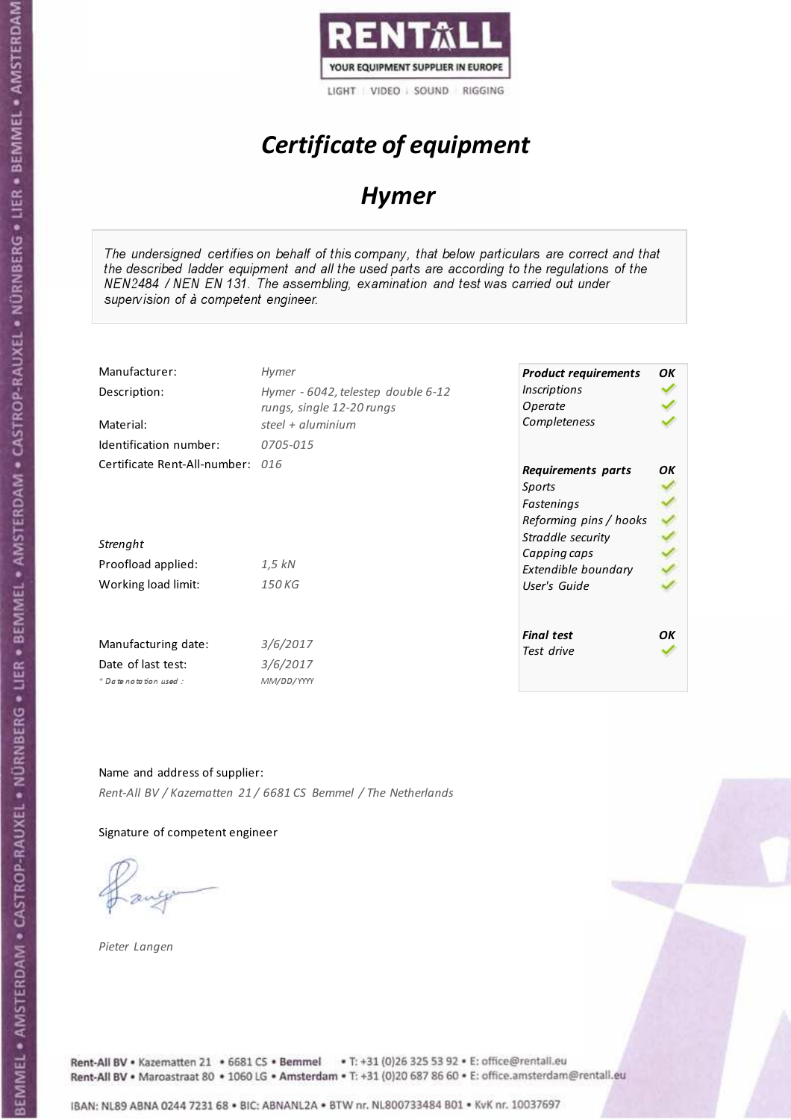

# Certificate of equipment

## Hymer

The undersigned certifies on behalf of this company, that below particulars are correct and that the described ladder equipment and all the used parts are according to the regulations of the NEN2484 / NEN EN 131. The assembling, examination and test was carried out under supervision of à competent engineer.

| Manufacturer:                    | Hymer                              | <b>Product requirements</b> | OK |
|----------------------------------|------------------------------------|-----------------------------|----|
| Description:                     | Hymer - 6042, telestep double 6-12 | <i><b>Inscriptions</b></i>  |    |
|                                  | rungs, single 12-20 rungs          | Operate                     |    |
| Material:                        | steel + $\alpha$ luminium          | Completeness                |    |
| Identification number:           | 0705-015                           |                             |    |
| Certificate Rent-All-number: 016 |                                    | Requirements parts          | OK |
|                                  |                                    | Sports                      |    |
|                                  |                                    | Fastenings                  |    |
|                                  |                                    | Reforming pins / hooks      |    |
| Strenght                         |                                    | Straddle security           |    |
|                                  |                                    | Capping caps                |    |
| Proofload applied:               | $1.5$ kN                           | Extendible boundary         |    |
| Working load limit:              | 150 KG                             | User's Guide                |    |
|                                  |                                    |                             |    |
|                                  |                                    | <b>Final test</b>           | OK |
| Manufacturing date:              | 3/6/2017                           | Test drive                  |    |
| Date of last test:               | 3/6/2017                           |                             |    |
| $*$ Date notation used:          | MM/DD/YYYY                         |                             |    |

#### Name and address of supplier:

Rent-All BV / Kazematten 21 / 6681 CS Bemmel / The Netherlands

#### Signature of competent engineer

Pieter Langen



Rent-All BV . Kazematten 21 . 6681 CS . Bemmel . T: +31 (0)26 325 53 92 . E: office@rentall.eu Rent-All BV · Maroastraat 80 · 1060 LG · Amsterdam · T: +31 (0)20 687 86 60 · E: office.amsterdam@rentall.eu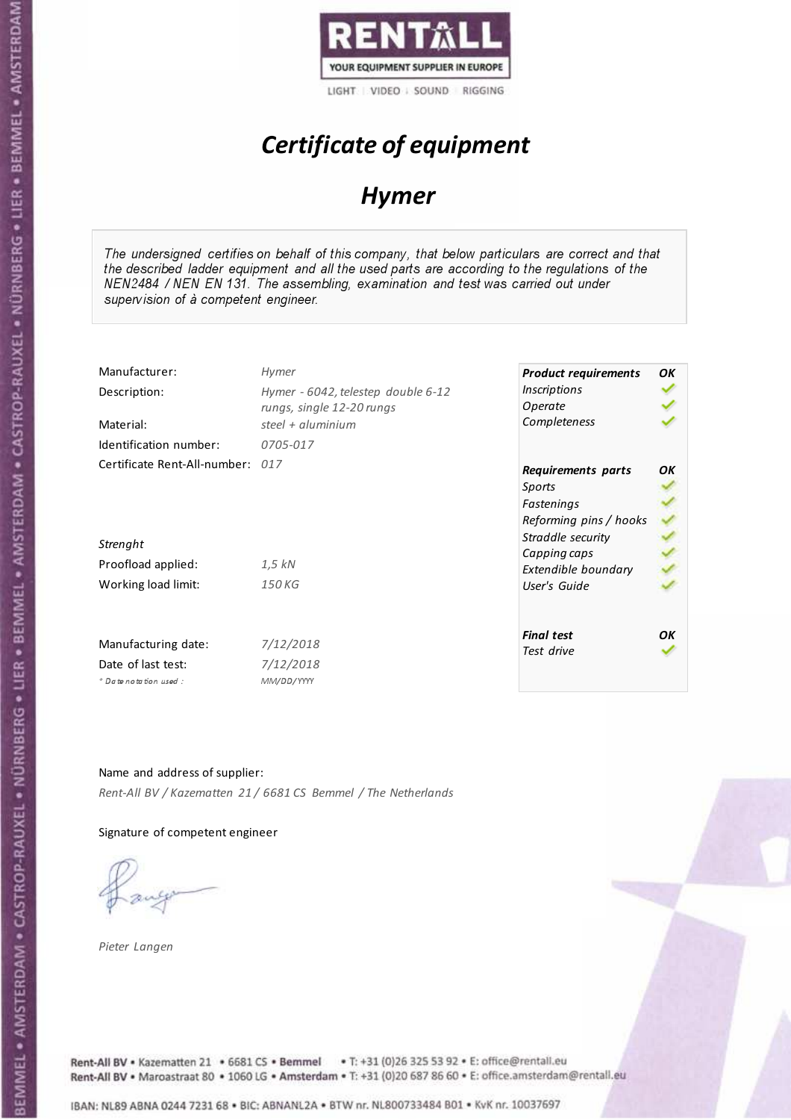

# Certificate of equipment

## Hymer

The undersigned certifies on behalf of this company, that below particulars are correct and that the described ladder equipment and all the used parts are according to the regulations of the NEN2484 / NEN EN 131. The assembling, examination and test was carried out under supervision of à competent engineer.

| Manufacturer:<br>Description:                                        | Hymer<br>Hymer - 6042, telestep double 6-12<br>rungs, single 12-20 rungs | <b>Product requirements</b><br><i><b>Inscriptions</b></i><br>Operate     | OK |
|----------------------------------------------------------------------|--------------------------------------------------------------------------|--------------------------------------------------------------------------|----|
| Material:<br>Identification number:                                  | steel + aluminium<br>0705-017                                            | Completeness                                                             |    |
| Certificate Rent-All-number: 017                                     |                                                                          | Requirements parts<br>Sports<br>Fastenings<br>Reforming pins / hooks     | OK |
| Strenght<br>Proofload applied:<br>Working load limit:                | 1,5 kN<br>150 KG                                                         | Straddle security<br>Capping caps<br>Extendible boundary<br>User's Guide |    |
| Manufacturing date:<br>Date of last test:<br>$*$ Date notation used: | 7/12/2018<br>7/12/2018<br>MM/DD/YYYY                                     | <b>Final test</b><br>Test drive                                          | OK |

#### Name and address of supplier:

Rent-All BV / Kazematten 21 / 6681 CS Bemmel / The Netherlands

### Signature of competent engineer

Pieter Langen

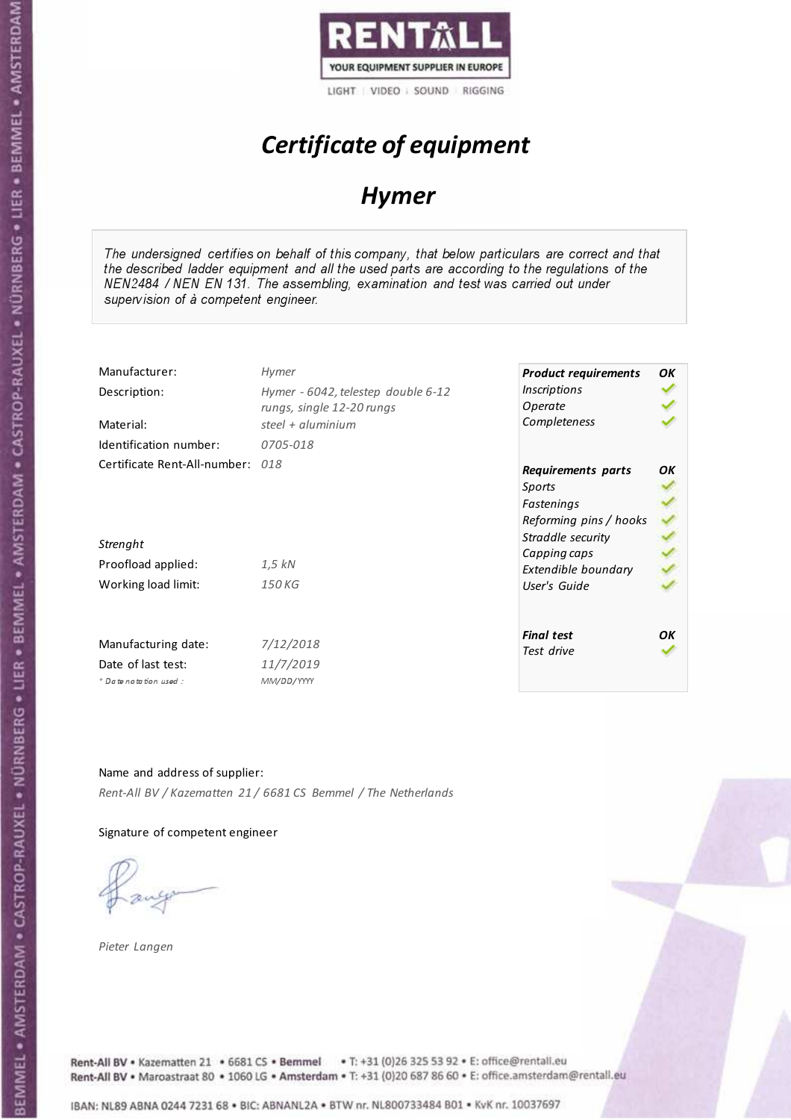

# Certificate of equipment

## Hymer

The undersigned certifies on behalf of this company, that below particulars are correct and that the described ladder equipment and all the used parts are according to the regulations of the NEN2484 / NEN EN 131. The assembling, examination and test was carried out under supervision of à competent engineer.

| Manufacturer:                    | <b>Hymer</b>                       | <b>Product requirements</b> | OK |
|----------------------------------|------------------------------------|-----------------------------|----|
| Description:                     | Hymer - 6042, telestep double 6-12 | <i><b>Inscriptions</b></i>  |    |
|                                  | rungs, single 12-20 rungs          | Operate                     |    |
| Material:                        | steel $+$ aluminium                | Completeness                |    |
| Identification number:           | 0705-018                           |                             |    |
| Certificate Rent-All-number: 018 |                                    | Requirements parts          | OΚ |
|                                  |                                    | Sports                      |    |
|                                  |                                    | Fastenings                  |    |
|                                  |                                    | Reforming pins / hooks      |    |
| Strenght                         |                                    | Straddle security           |    |
|                                  |                                    | Capping caps                |    |
| Proofload applied:               | 1,5 kN                             | Extendible boundary         |    |
| Working load limit:              | 150 KG                             | User's Guide                |    |
|                                  |                                    |                             |    |
|                                  |                                    | <b>Final test</b>           | OK |
| Manufacturing date:              | 7/12/2018                          | Test drive                  |    |
| Date of last test:               | 11/7/2019                          |                             |    |
| $*$ Date notation used:          | MM/DD/YYYY                         |                             |    |

#### Name and address of supplier:

Rent-All BV / Kazematten 21 / 6681 CS Bemmel / The Netherlands

### Signature of competent engineer

Pieter Langen

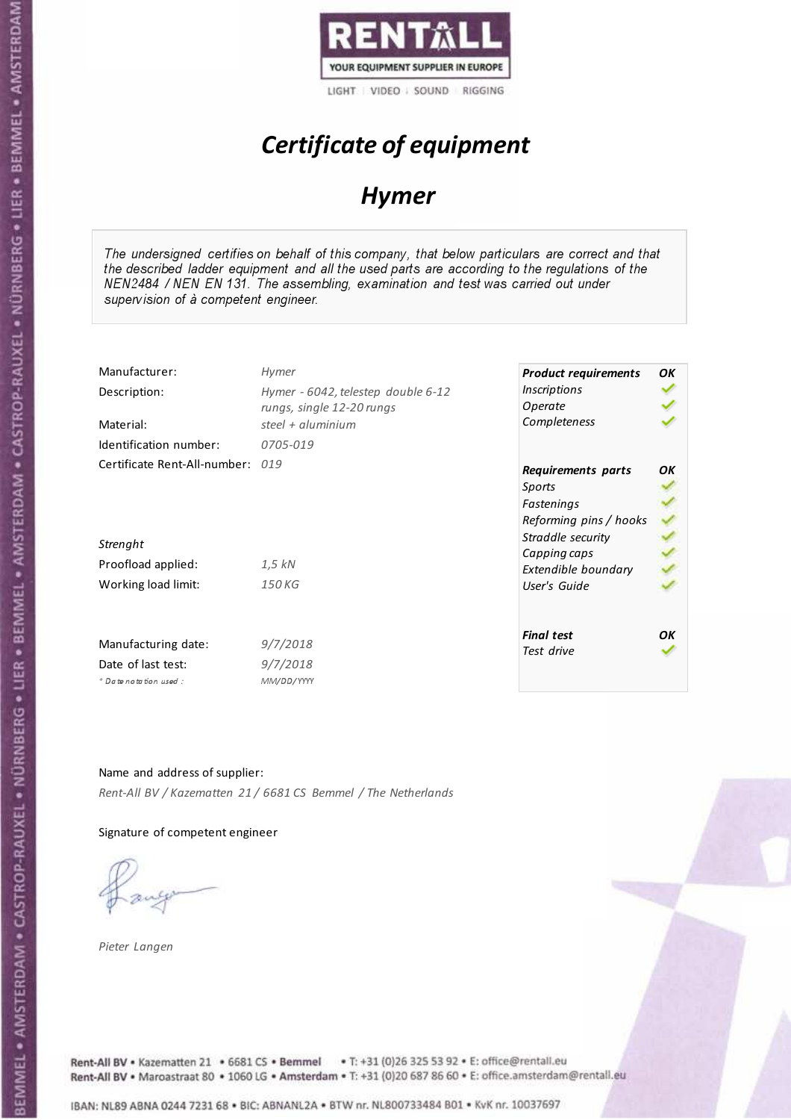

# Certificate of equipment

## Hymer

The undersigned certifies on behalf of this company, that below particulars are correct and that the described ladder equipment and all the used parts are according to the regulations of the NEN2484 / NEN EN 131. The assembling, examination and test was carried out under supervision of à competent engineer.

| Manufacturer:<br>Description:                                        | Hymer<br>Hymer - 6042, telestep double 6-12<br>rungs, single 12-20 rungs | <b>Product requirements</b><br><i><b>Inscriptions</b></i><br>Operate                               | OK |
|----------------------------------------------------------------------|--------------------------------------------------------------------------|----------------------------------------------------------------------------------------------------|----|
| Material:                                                            | steel $+$ aluminium                                                      | Completeness                                                                                       |    |
| Identification number:<br>Certificate Rent-All-number: 019           | 0705-019                                                                 | Requirements parts<br>Sports<br>Fastenings                                                         | OK |
| Strenght<br>Proofload applied:<br>Working load limit:                | $1.5$ kN<br>150 KG                                                       | Reforming pins / hooks<br>Straddle security<br>Capping caps<br>Extendible boundary<br>User's Guide |    |
| Manufacturing date:<br>Date of last test:<br>$*$ Date notation used: | 9/7/2018<br>9/7/2018<br>MM/DD/YYYY                                       | <b>Final test</b><br>Test drive                                                                    | OK |

#### Name and address of supplier:

Rent-All BV / Kazematten 21 / 6681 CS Bemmel / The Netherlands

### Signature of competent engineer

Pieter Langen

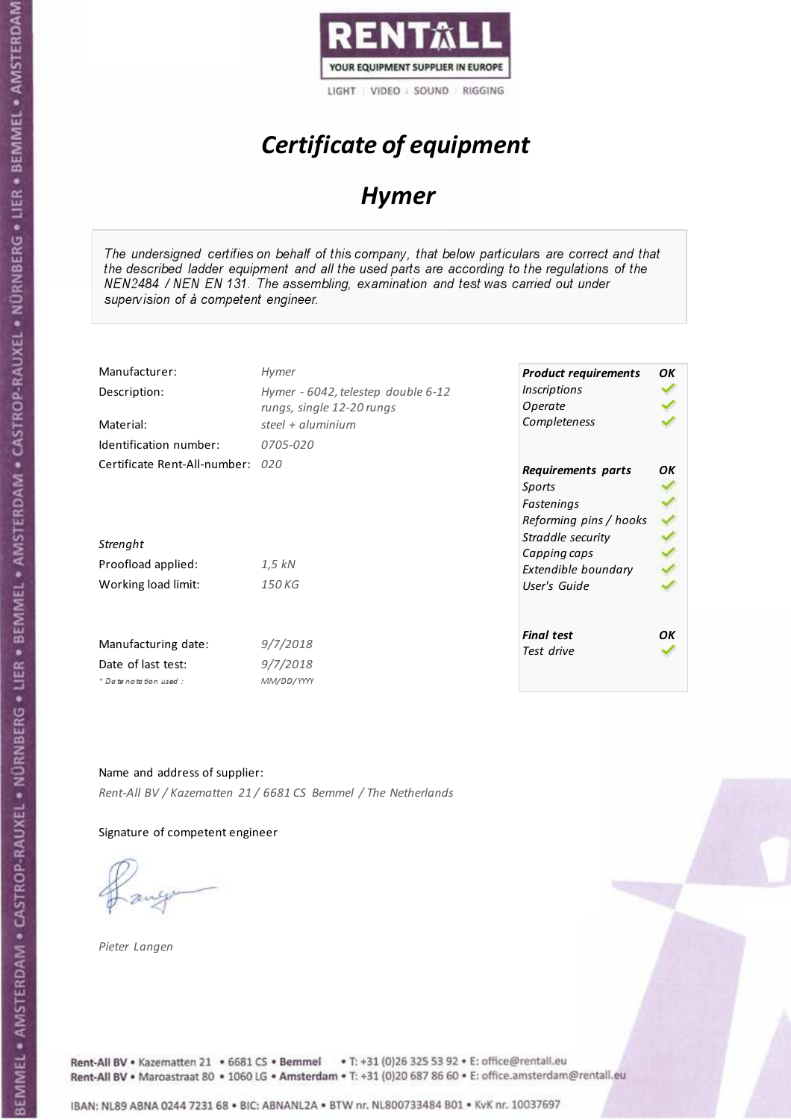

## Certificate of equipment

## Hymer

The undersigned certifies on behalf of this company, that below particulars are correct and that the described ladder equipment and all the used parts are according to the regulations of the NEN2484 / NEN EN 131. The assembling, examination and test was carried out under supervision of à competent engineer.

| Manufacturer:                                                        | <b>Hymer</b>                                                    | <b>Product requirements</b>                                              | OK |
|----------------------------------------------------------------------|-----------------------------------------------------------------|--------------------------------------------------------------------------|----|
| Description:                                                         | Hymer - 6042, telestep double 6-12<br>rungs, single 12-20 rungs | <i><b>Inscriptions</b></i><br>Operate                                    |    |
| Material:                                                            | steel $+$ aluminium                                             | Completeness                                                             |    |
| Identification number:                                               | 0705-020                                                        |                                                                          |    |
| Certificate Rent-All-number: 020                                     |                                                                 | Requirements parts<br>Sports<br>Fastenings<br>Reforming pins / hooks     | OΚ |
| Strenght<br>Proofload applied:<br>Working load limit:                | 1,5 kN<br>150 KG                                                | Straddle security<br>Capping caps<br>Extendible boundary<br>User's Guide |    |
| Manufacturing date:<br>Date of last test:<br>$*$ Date notation used: | 9/7/2018<br>9/7/2018<br>MM/DD/YYYY                              | <b>Final test</b><br>Test drive                                          | OK |

#### Name and address of supplier:

Rent-All BV / Kazematten 21 / 6681 CS Bemmel / The Netherlands

#### Signature of competent engineer

Pieter Langen



Rent-All BV . Kazematten 21 . 6681 CS . Bemmel . T: +31 (0)26 325 53 92 . E: office@rentall.eu Rent-All BV · Maroastraat 80 · 1060 LG · Amsterdam · T: +31 (0)20 687 86 60 · E: office.amsterdam@rentall.eu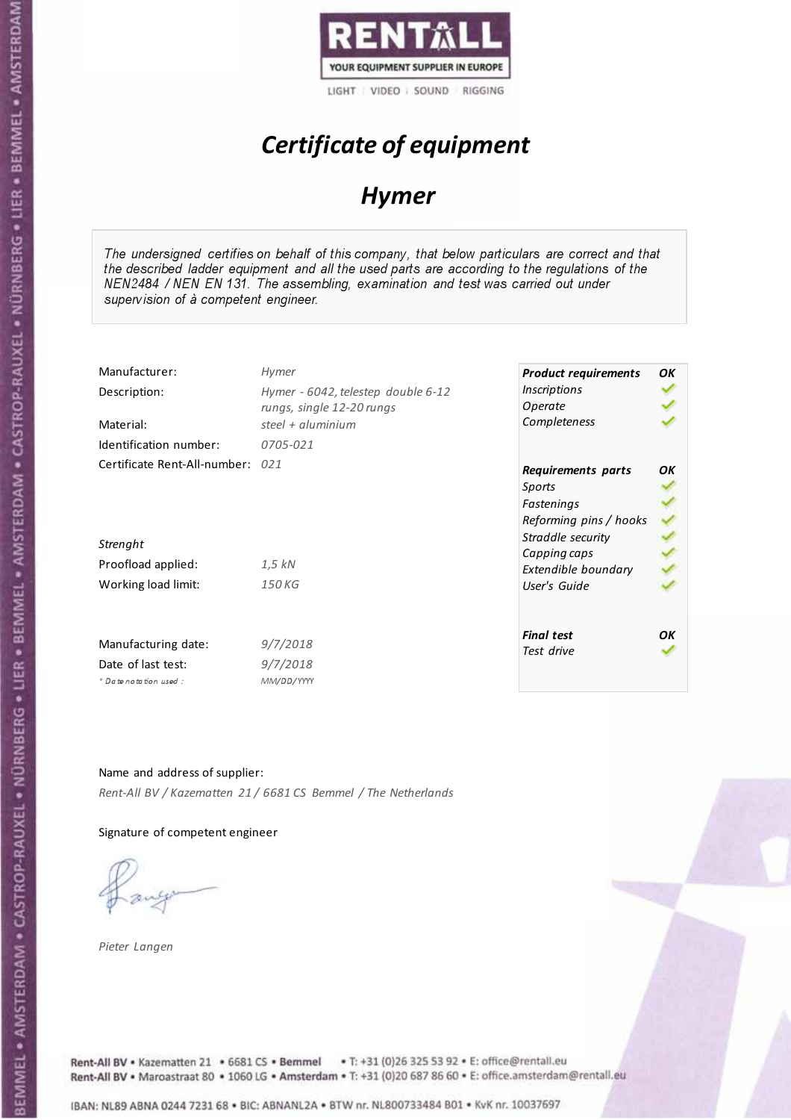

# Certificate of equipment

## Hymer

The undersigned certifies on behalf of this company, that below particulars are correct and that the described ladder equipment and all the used parts are according to the regulations of the NEN2484 / NEN EN 131. The assembling, examination and test was carried out under supervision of à competent engineer.

| Manufacturer:<br>Description:                                        | Hymer<br>Hymer - 6042, telestep double 6-12<br>rungs, single 12-20 rungs | <b>Product requirements</b><br><i><b>Inscriptions</b></i><br>Operate                                      | OK |
|----------------------------------------------------------------------|--------------------------------------------------------------------------|-----------------------------------------------------------------------------------------------------------|----|
| Material:                                                            | steel + $aluminim$                                                       | Completeness                                                                                              |    |
| Identification number:                                               | 0705-021                                                                 |                                                                                                           |    |
| Certificate Rent-All-number: 021<br>Strenght<br>Proofload applied:   | $1.5$ kN                                                                 | Requirements parts<br>Sports<br>Fastenings<br>Reforming pins / hooks<br>Straddle security<br>Capping caps | OK |
| Working load limit:                                                  | 150 KG                                                                   | Extendible boundary<br>User's Guide                                                                       |    |
| Manufacturing date:<br>Date of last test:<br>$*$ Date notation used: | 9/7/2018<br>9/7/2018<br>MM/DD/YYYY                                       | <b>Final test</b><br>Test drive                                                                           | OK |

#### Name and address of supplier:

Rent-All BV / Kazematten 21 / 6681 CS Bemmel / The Netherlands

### Signature of competent engineer

Pieter Langen



Rent-All BV . Kazematten 21 . 6681 CS . Bemmel . T: +31 (0)26 325 53 92 . E: office@rentall.eu Rent-All BV · Maroastraat 80 · 1060 LG · Amsterdam · T: +31 (0)20 687 86 60 · E: office.amsterdam@rentall.eu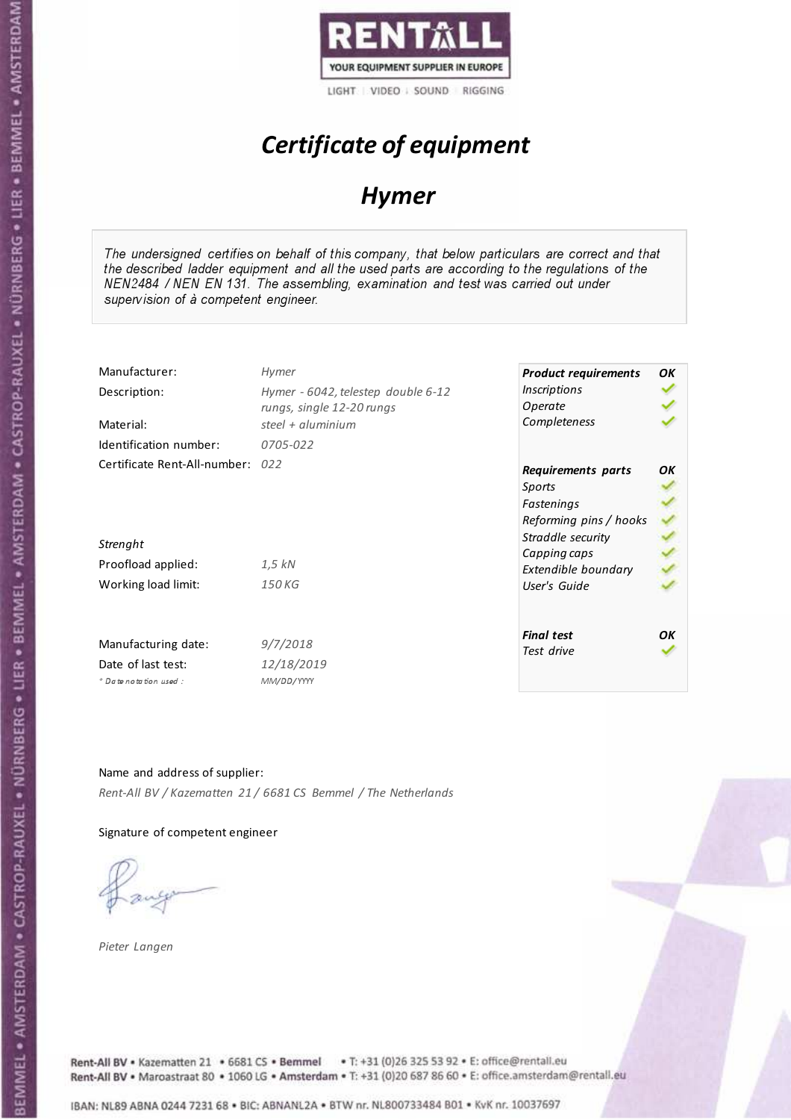

## Certificate of equipment

### Hymer

The undersigned certifies on behalf of this company, that below particulars are correct and that the described ladder equipment and all the used parts are according to the regulations of the NEN2484 / NEN EN 131. The assembling, examination and test was carried out under supervision of à competent engineer.

| Manufacturer:<br>Description:                                        | Hymer<br>Hymer - 6042, telestep double 6-12<br>rungs, single 12-20 rungs | <b>Product requirements</b><br><i><b>Inscriptions</b></i><br>Operate                                      | OΚ |
|----------------------------------------------------------------------|--------------------------------------------------------------------------|-----------------------------------------------------------------------------------------------------------|----|
| Material:<br>Identification number:                                  | steel + $\alpha$ luminium<br>0705-022                                    | Completeness                                                                                              |    |
| Certificate Rent-All-number: 022<br>Strenght                         |                                                                          | Requirements parts<br>Sports<br>Fastenings<br>Reforming pins / hooks<br>Straddle security<br>Capping caps | OΚ |
| Proofload applied:<br>Working load limit:                            | 1,5 kN<br>150 KG                                                         | Extendible boundary<br>User's Guide                                                                       |    |
| Manufacturing date:<br>Date of last test:<br>$*$ Date notation used: | 9/7/2018<br>12/18/2019<br>MM/DD/YYYY                                     | <b>Final test</b><br>Test drive                                                                           | OK |

### Name and address of supplier:

Rent-All BV / Kazematten 21 / 6681 CS Bemmel / The Netherlands

### Signature of competent engineer

Pieter Langen

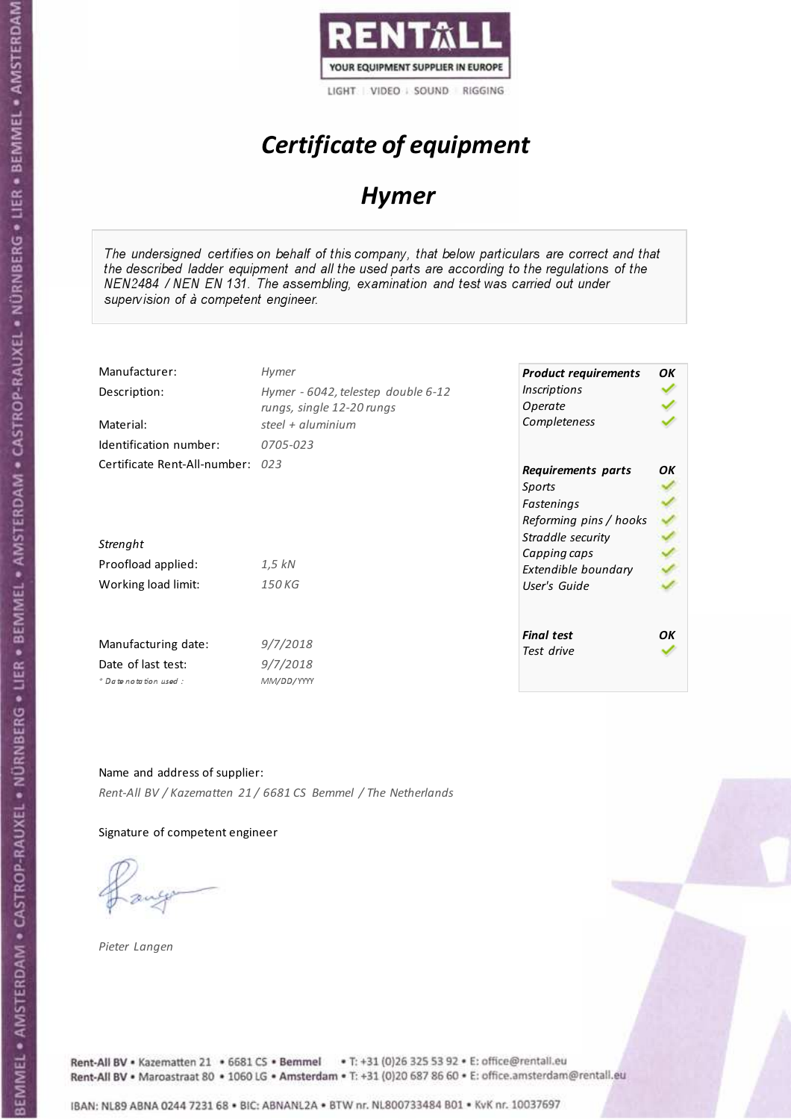

# Certificate of equipment

## Hymer

The undersigned certifies on behalf of this company, that below particulars are correct and that the described ladder equipment and all the used parts are according to the regulations of the NEN2484 / NEN EN 131. The assembling, examination and test was carried out under supervision of à competent engineer.

| Manufacturer:                    | Hymer                              | <b>Product requirements</b> | OK |
|----------------------------------|------------------------------------|-----------------------------|----|
| Description:                     | Hymer - 6042, telestep double 6-12 | <i><b>Inscriptions</b></i>  |    |
|                                  | rungs, single 12-20 rungs          | Operate                     |    |
| Material:                        | steel + $aluminium$                | Completeness                |    |
| Identification number:           | 0705-023                           |                             |    |
| Certificate Rent-All-number: 023 |                                    | Requirements parts          | OK |
|                                  |                                    | Sports                      |    |
|                                  |                                    | Fastenings                  |    |
|                                  |                                    | Reforming pins / hooks      |    |
| Strenght                         |                                    | Straddle security           |    |
|                                  |                                    | Capping caps                |    |
| Proofload applied:               | $1.5$ kN                           | Extendible boundary         |    |
| Working load limit:              | 150 KG                             | User's Guide                |    |
|                                  |                                    |                             |    |
|                                  |                                    | <b>Final test</b>           | OK |
| Manufacturing date:              | 9/7/2018                           | Test drive                  |    |
| Date of last test:               | 9/7/2018                           |                             |    |
| $*$ Date notation used:          | MM/DD/YYYY                         |                             |    |

#### Name and address of supplier:

Rent-All BV / Kazematten 21 / 6681 CS Bemmel / The Netherlands

#### Signature of competent engineer

Pieter Langen

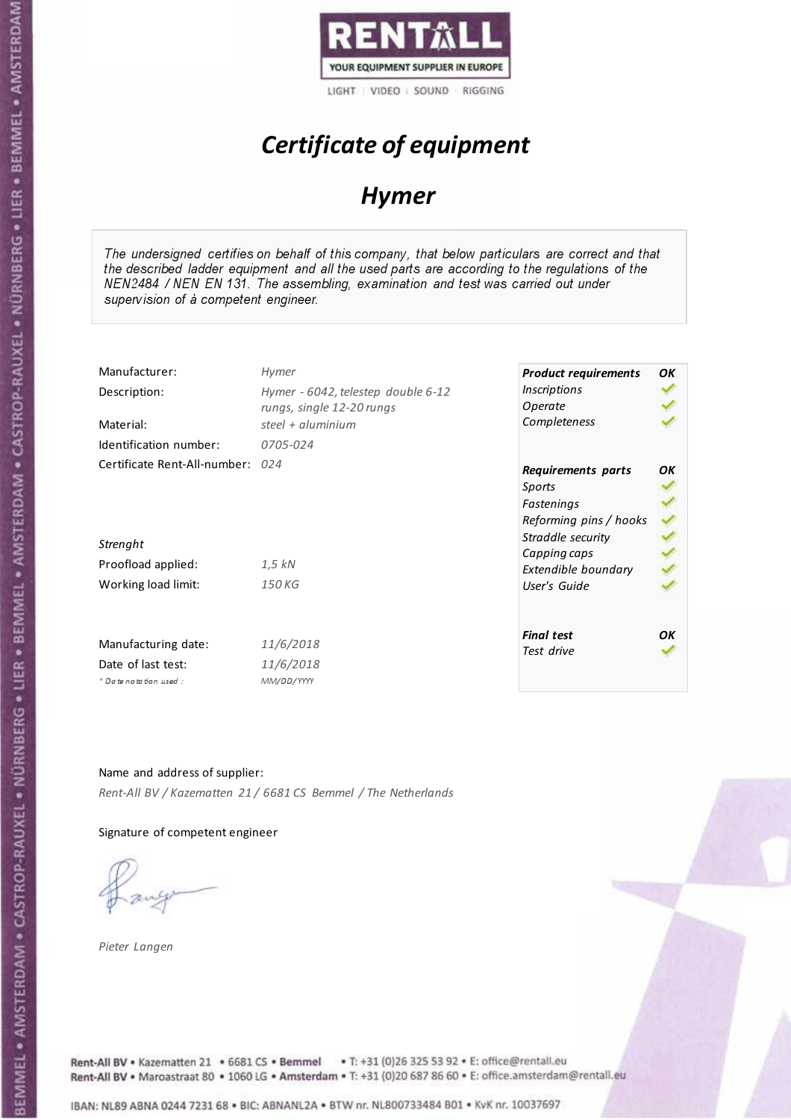

# Certificate of equipment

## Hymer

The undersigned certifies on behalf of this company, that below particulars are correct and that the described ladder equipment and all the used parts are according to the regulations of the NEN2484 / NEN EN 131. The assembling, examination and test was carried out under supervision of à competent engineer.

| Manufacturer:                    | <b>Hymer</b>                       | <b>Product requirements</b> | OK |
|----------------------------------|------------------------------------|-----------------------------|----|
| Description:                     | Hymer - 6042, telestep double 6-12 | <i><b>Inscriptions</b></i>  |    |
|                                  | rungs, single 12-20 rungs          | Operate                     |    |
| Material:                        | steel $+$ aluminium                | Completeness                |    |
| Identification number:           | 0705-024                           |                             |    |
| Certificate Rent-All-number: 024 |                                    | Requirements parts          | OK |
|                                  |                                    | Sports                      |    |
|                                  |                                    | Fastenings                  |    |
|                                  |                                    | Reforming pins / hooks      |    |
| Strenght                         |                                    | Straddle security           |    |
|                                  |                                    | Capping caps                |    |
| Proofload applied:               | 1,5 kN                             | Extendible boundary         |    |
| Working load limit:              | 150 KG                             | User's Guide                |    |
|                                  |                                    |                             |    |
|                                  |                                    | <b>Final test</b>           | OK |
| Manufacturing date:              | 11/6/2018                          | Test drive                  |    |
| Date of last test:               | 11/6/2018                          |                             |    |
| $*$ Date notation used:          | MM/DD/YYYY                         |                             |    |

#### Name and address of supplier:

Rent-All BV / Kazematten 21 / 6681 CS Bemmel / The Netherlands

### Signature of competent engineer

Pieter Langen

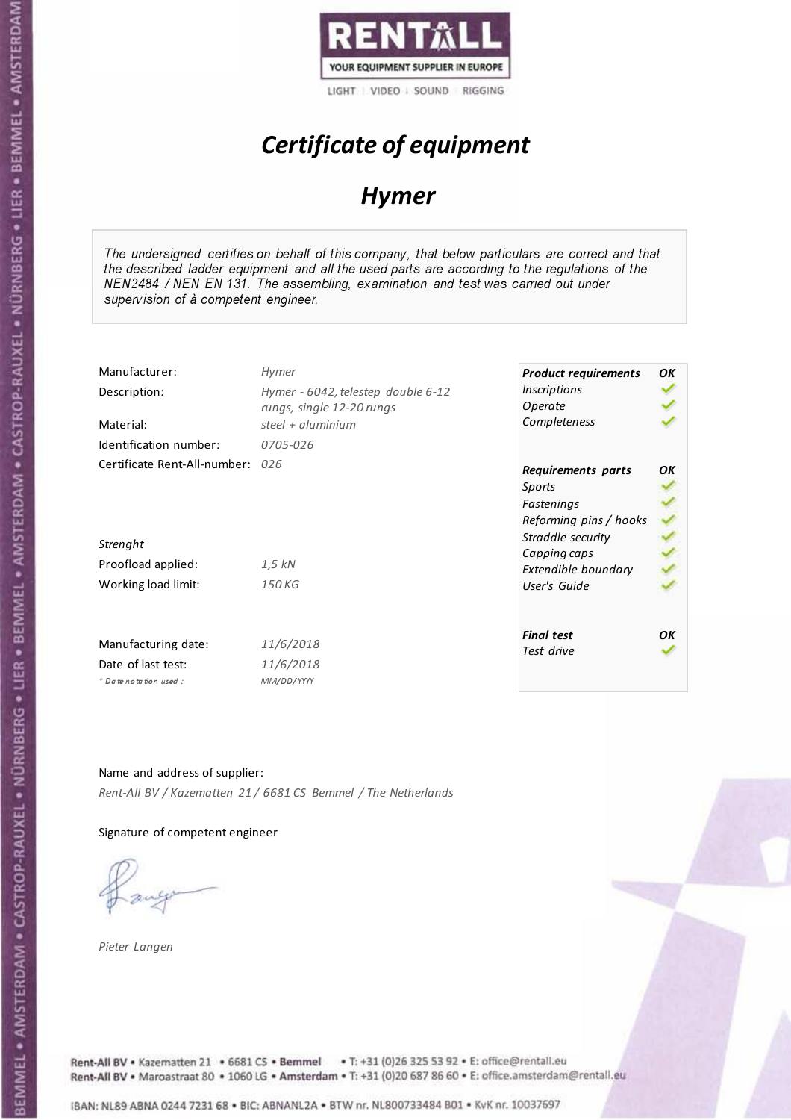

# Certificate of equipment

## Hymer

The undersigned certifies on behalf of this company, that below particulars are correct and that the described ladder equipment and all the used parts are according to the regulations of the NEN2484 / NEN EN 131. The assembling, examination and test was carried out under supervision of à competent engineer.

| Manufacturer:                    | <b>Hymer</b>                       | <b>Product requirements</b> | OK |
|----------------------------------|------------------------------------|-----------------------------|----|
| Description:                     | Hymer - 6042, telestep double 6-12 | <i><b>Inscriptions</b></i>  |    |
|                                  | rungs, single 12-20 rungs          | Operate                     |    |
| Material:                        | steel $+$ aluminium                | Completeness                |    |
| Identification number:           | 0705-026                           |                             |    |
| Certificate Rent-All-number: 026 |                                    | Requirements parts          | OΚ |
|                                  |                                    | Sports                      |    |
|                                  |                                    | Fastenings                  |    |
|                                  |                                    | Reforming pins / hooks      |    |
| Strenght                         |                                    | Straddle security           |    |
|                                  |                                    | Capping caps                |    |
| Proofload applied:               | 1,5 kN                             | Extendible boundary         |    |
| Working load limit:              | 150 KG                             | User's Guide                |    |
|                                  |                                    |                             |    |
|                                  |                                    | <b>Final test</b>           | OK |
| Manufacturing date:              | 11/6/2018                          | Test drive                  |    |
| Date of last test:               | 11/6/2018                          |                             |    |
| $*$ Date notation used:          | MM/DD/YYYY                         |                             |    |

#### Name and address of supplier:

Rent-All BV / Kazematten 21 / 6681 CS Bemmel / The Netherlands

### Signature of competent engineer

Pieter Langen

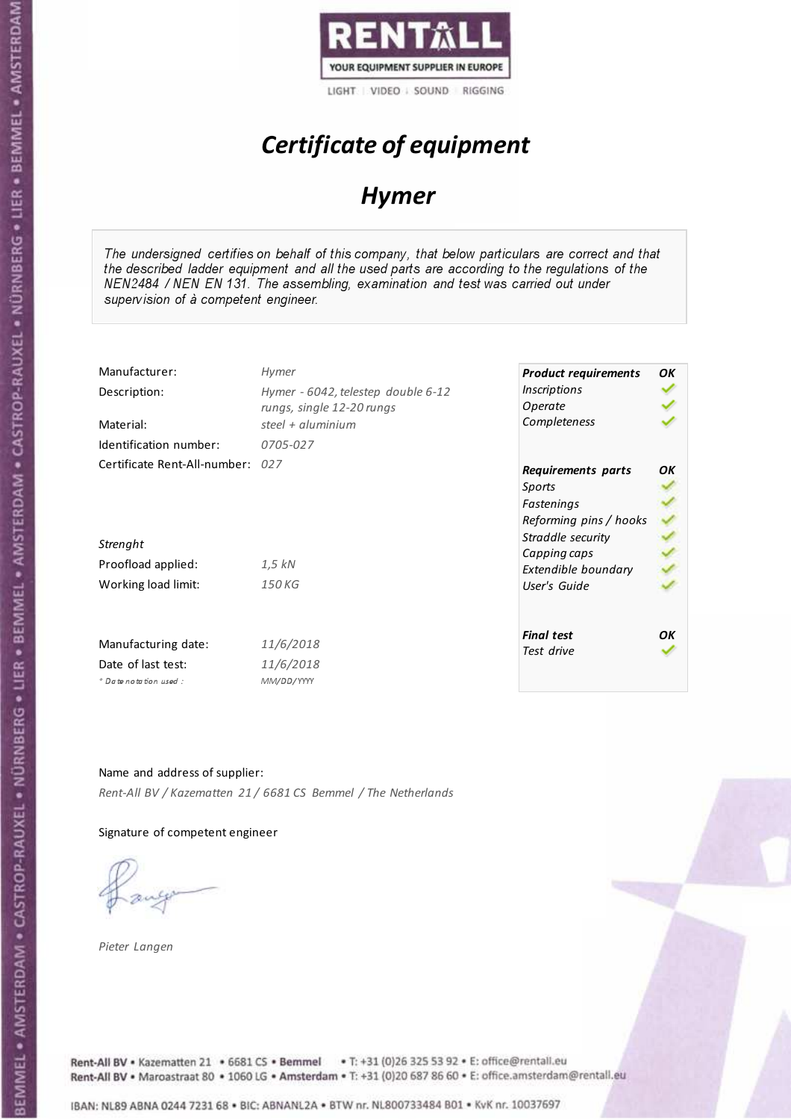

# Certificate of equipment

## Hymer

The undersigned certifies on behalf of this company, that below particulars are correct and that the described ladder equipment and all the used parts are according to the regulations of the NEN2484 / NEN EN 131. The assembling, examination and test was carried out under supervision of à competent engineer.

| Manufacturer:                    | Hymer                              | <b>Product requirements</b> | OK |
|----------------------------------|------------------------------------|-----------------------------|----|
| Description:                     | Hymer - 6042, telestep double 6-12 | <i><b>Inscriptions</b></i>  |    |
|                                  | rungs, single 12-20 rungs          | Operate                     |    |
| Material:                        | steel $+$ aluminium                | Completeness                |    |
| Identification number:           | 0705-027                           |                             |    |
| Certificate Rent-All-number: 027 |                                    | Requirements parts          | OK |
|                                  |                                    | Sports                      |    |
|                                  |                                    | Fastenings                  |    |
|                                  |                                    | Reforming pins / hooks      |    |
| Strenght                         |                                    | Straddle security           |    |
|                                  |                                    | Capping caps                |    |
| Proofload applied:               | 1,5 kN                             | Extendible boundary         |    |
| Working load limit:              | 150 KG                             | User's Guide                |    |
|                                  |                                    |                             |    |
| Manufacturing date:              | 11/6/2018                          | <b>Final test</b>           | OK |
|                                  |                                    | Test drive                  |    |
| Date of last test:               | 11/6/2018                          |                             |    |
| $*$ Date notation used:          | MM/DD/YYYY                         |                             |    |

#### Name and address of supplier:

Rent-All BV / Kazematten 21 / 6681 CS Bemmel / The Netherlands

### Signature of competent engineer

Pieter Langen

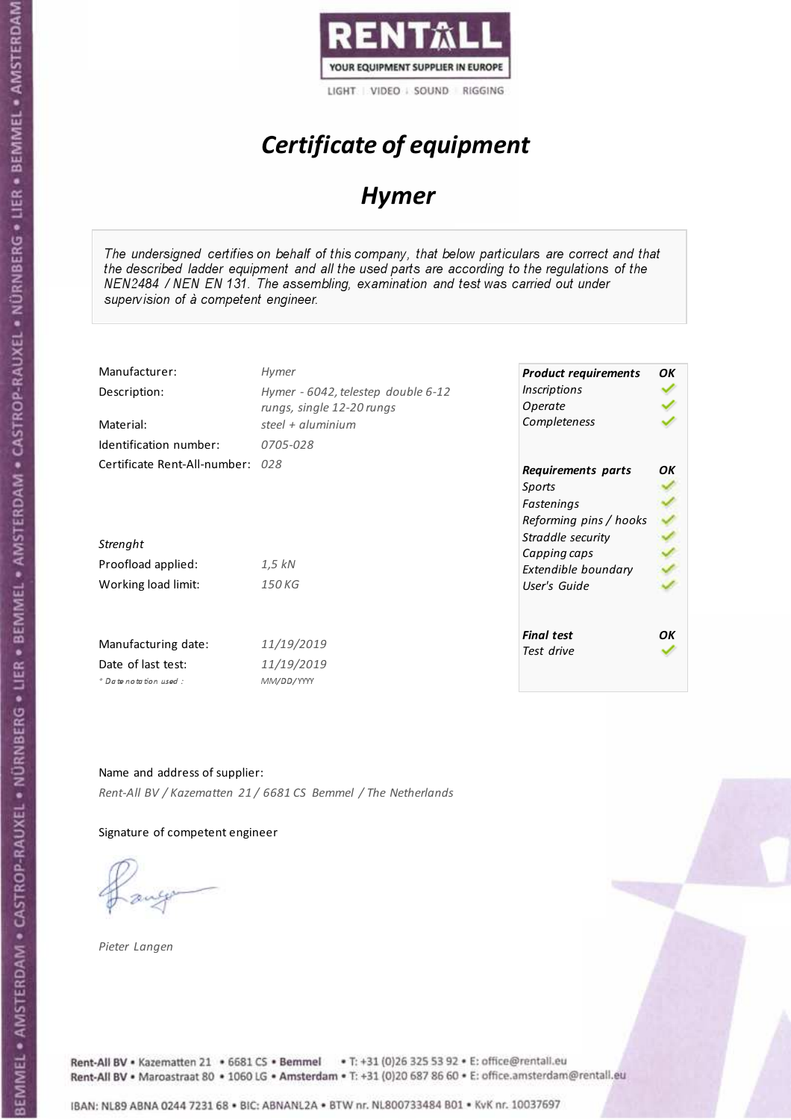

# Certificate of equipment

## Hymer

The undersigned certifies on behalf of this company, that below particulars are correct and that the described ladder equipment and all the used parts are according to the regulations of the NEN2484 / NEN EN 131. The assembling, examination and test was carried out under supervision of à competent engineer.

| Manufacturer:                    | <b>Hymer</b>                       | <b>Product requirements</b> | OK |
|----------------------------------|------------------------------------|-----------------------------|----|
| Description:                     | Hymer - 6042, telestep double 6-12 | <i><b>Inscriptions</b></i>  |    |
|                                  | rungs, single 12-20 rungs          | Operate                     |    |
| Material:                        | steel $+$ aluminium                | Completeness                |    |
| Identification number:           | 0705-028                           |                             |    |
| Certificate Rent-All-number: 028 |                                    | Requirements parts          | OK |
|                                  |                                    | Sports                      |    |
|                                  |                                    | Fastenings                  |    |
|                                  |                                    | Reforming pins / hooks      |    |
| Strenght                         |                                    | Straddle security           |    |
|                                  |                                    | Capping caps                |    |
| Proofload applied:               | 1,5 kN                             | Extendible boundary         |    |
| Working load limit:              | 150 KG                             | User's Guide                |    |
|                                  |                                    |                             |    |
|                                  |                                    | <b>Final test</b>           | OK |
| Manufacturing date:              | 11/19/2019                         | Test drive                  |    |
| Date of last test:               | 11/19/2019                         |                             |    |
| $*$ Date notation used:          | MM/DD/YYYY                         |                             |    |

### Name and address of supplier:

Rent-All BV / Kazematten 21 / 6681 CS Bemmel / The Netherlands

### Signature of competent engineer

Pieter Langen



Rent-All BV . Kazematten 21 . 6681 CS . Bemmel . T: +31 (0)26 325 53 92 . E: office@rentall.eu Rent-All BV · Maroastraat 80 · 1060 LG · Amsterdam · T: +31 (0)20 687 86 60 · E: office.amsterdam@rentall.eu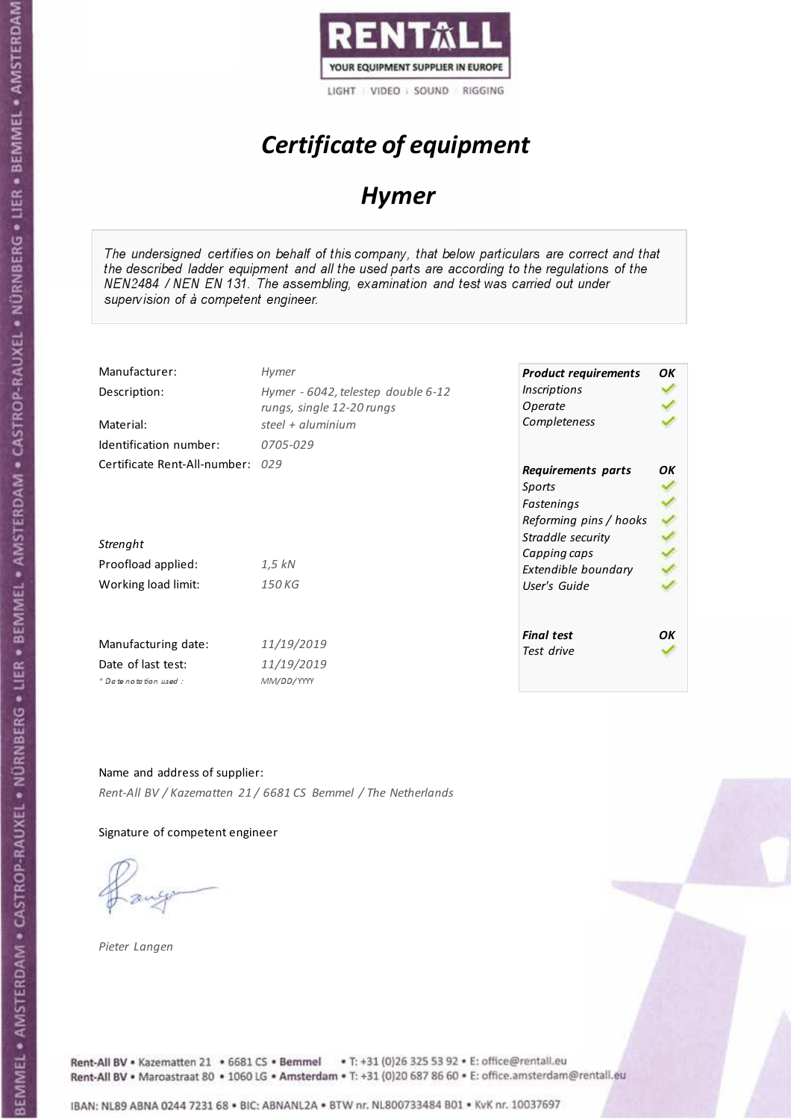

# Certificate of equipment

## Hymer

The undersigned certifies on behalf of this company, that below particulars are correct and that the described ladder equipment and all the used parts are according to the regulations of the NEN2484 / NEN EN 131. The assembling, examination and test was carried out under supervision of à competent engineer.

| Manufacturer:                    | Hymer                              | <b>Product requirements</b> | OK |
|----------------------------------|------------------------------------|-----------------------------|----|
| Description:                     | Hymer - 6042, telestep double 6-12 | <i><b>Inscriptions</b></i>  |    |
|                                  | rungs, single 12-20 rungs          | Operate                     |    |
| Material:                        | steel $+$ aluminium                | Completeness                |    |
| Identification number:           | 0705-029                           |                             |    |
| Certificate Rent-All-number: 029 |                                    | Requirements parts          | OK |
|                                  |                                    | Sports                      |    |
|                                  |                                    | Fastenings                  |    |
|                                  |                                    | Reforming pins / hooks      |    |
| Strenght                         |                                    | Straddle security           |    |
|                                  |                                    | Capping caps                |    |
| Proofload applied:               | 1,5 kN                             | Extendible boundary         |    |
| Working load limit:              | 150 KG                             | User's Guide                |    |
|                                  |                                    |                             |    |
| Manufacturing date:              | 11/19/2019                         | <b>Final test</b>           | OK |
|                                  |                                    | Test drive                  |    |
| Date of last test:               | 11/19/2019                         |                             |    |
| $*$ Date notation used:          | MM/DD/YYYY                         |                             |    |

### Name and address of supplier:

Rent-All BV / Kazematten 21 / 6681 CS Bemmel / The Netherlands

### Signature of competent engineer

Pieter Langen

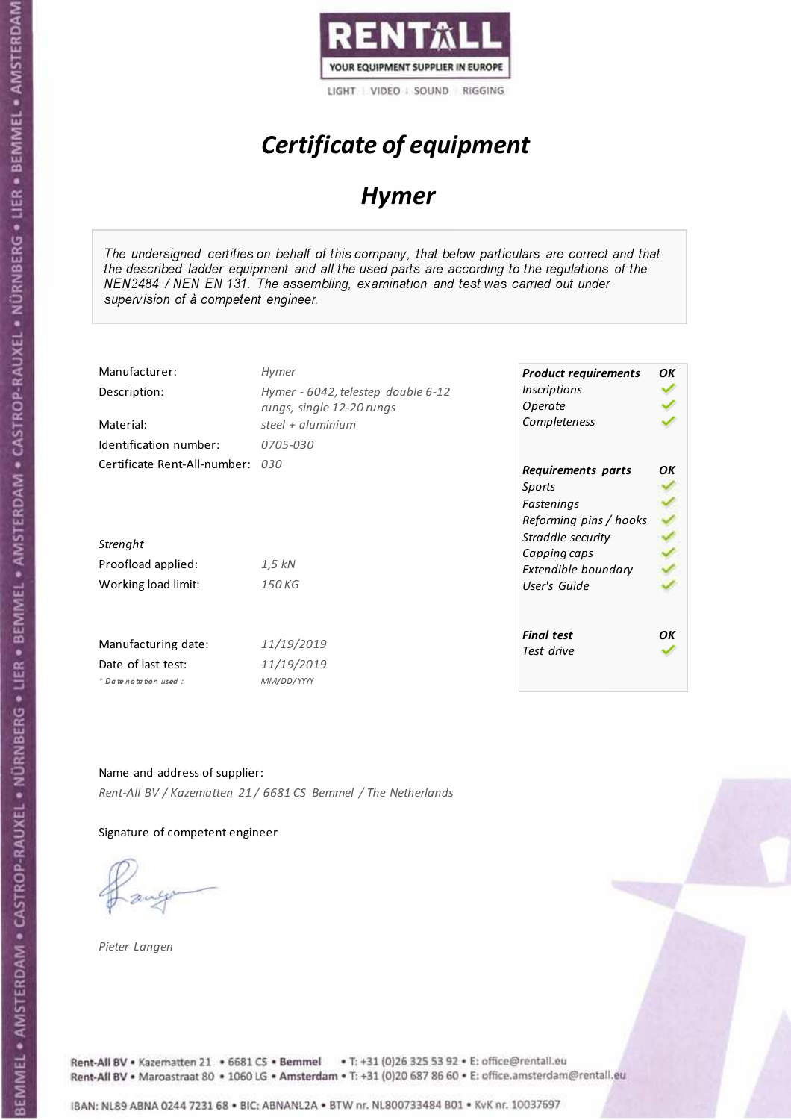

## Certificate of equipment

## Hymer

The undersigned certifies on behalf of this company, that below particulars are correct and that the described ladder equipment and all the used parts are according to the regulations of the NEN2484 / NEN EN 131. The assembling, examination and test was carried out under supervision of à competent engineer.

| Manufacturer:                    | <b>Hymer</b>                       | <b>Product requirements</b> | OK |
|----------------------------------|------------------------------------|-----------------------------|----|
| Description:                     | Hymer - 6042, telestep double 6-12 | <i><b>Inscriptions</b></i>  |    |
|                                  | rungs, single 12-20 rungs          | Operate                     |    |
| Material:                        | steel $+$ aluminium                | Completeness                |    |
| Identification number:           | 0705-030                           |                             |    |
| Certificate Rent-All-number: 030 |                                    | Requirements parts          | OK |
|                                  |                                    | Sports                      |    |
|                                  |                                    | Fastenings                  |    |
|                                  |                                    | Reforming pins / hooks      |    |
| Strenght                         |                                    | Straddle security           |    |
|                                  |                                    | Capping caps                |    |
| Proofload applied:               | 1,5 kN                             | Extendible boundary         |    |
| Working load limit:              | 150 KG                             | User's Guide                |    |
|                                  |                                    |                             |    |
|                                  |                                    | <b>Final test</b>           | OK |
| Manufacturing date:              | 11/19/2019                         | Test drive                  |    |
| Date of last test:               | 11/19/2019                         |                             |    |
| $*$ Date notation used:          | MM/DD/YYYY                         |                             |    |

### Name and address of supplier:

Rent-All BV / Kazematten 21 / 6681 CS Bemmel / The Netherlands

#### Signature of competent engineer

Pieter Langen